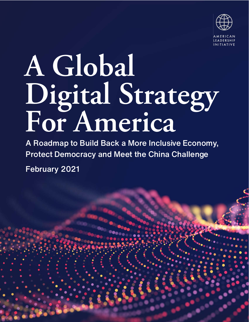

# **A Global Digital Strategy For America**

A Roadmap to Build Back a More Inclusive Economy, Protect Democracy and Meet the China Challenge February 2021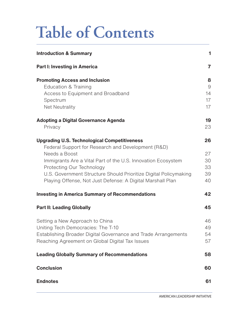## **Table of Contents**

| <b>Introduction &amp; Summary</b>                                | $\mathbf{1}$   |
|------------------------------------------------------------------|----------------|
| <b>Part I: Investing in America</b>                              | $\overline{7}$ |
| <b>Promoting Access and Inclusion</b>                            | 8              |
| Education & Training                                             | 9              |
| Access to Equipment and Broadband                                | 14             |
| Spectrum<br><b>Net Neutrality</b>                                | 17<br>17       |
| <b>Adopting a Digital Governance Agenda</b>                      | 19             |
| Privacy                                                          | 23             |
| <b>Upgrading U.S. Technological Competitiveness</b>              | 26             |
| Federal Support for Research and Development (R&D)               |                |
| Needs a Boost                                                    | 27             |
| Immigrants Are a Vital Part of the U.S. Innovation Ecosystem     | 30             |
| Protecting Our Technology                                        | 33             |
| U.S. Government Structure Should Prioritize Digital Policymaking | 39             |
| Playing Offense, Not Just Defense: A Digital Marshall Plan       | 40             |
| <b>Investing in America Summary of Recommendations</b>           | 42             |
| <b>Part II: Leading Globally</b>                                 | 45             |
| Setting a New Approach to China                                  | 46             |
| Uniting Tech Democracies: The T-10                               | 49             |
| Establishing Broader Digital Governance and Trade Arrangements   | 54             |
| Reaching Agreement on Global Digital Tax Issues                  | 57             |
| <b>Leading Globally Summary of Recommendations</b>               | 58             |
| <b>Conclusion</b>                                                | 60             |
| <b>Endnotes</b>                                                  | 61             |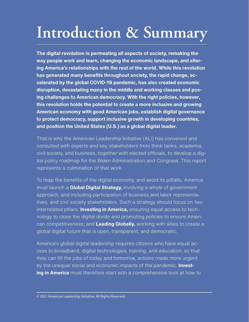## <span id="page-2-0"></span>**Introduction & Summary**

**The digital revolution is permeating all aspects of society, remaking the way people work and learn, changing the economic landscape, and altering America's relationships with the rest of the world. While this revolution has generated many benefits throughout society, the rapid change, accelerated by the global COVID-19 pandemic, has also created economic disruption, devastating many in the middle and working classes and posing challenges to American democracy. With the right policies, however, this revolution holds the potential to create a more inclusive and growing American economy with good American jobs, establish digital governance to protect democracy, support inclusive growth in developing countries, and position the United States (U.S.) as a global digital leader.** 

That is why the American Leadership Initiative (ALI) has convened and consulted with experts and key stakeholders from think tanks, academia, civil society, and business, together with elected officials, to develop a digital policy roadmap for the Biden Administration and Congress. This report represents a culmination of that work.

To reap the benefits of the digital economy, and avoid its pitfalls, America must launch a **Global Digital Strategy,** involving a whole of government approach, and including participation of business and labor representatives, and civil society stakeholders. Such a strategy should focus on two interrelated pillars: **Investing in America,** ensuring equal access to technology to close the digital divide and promoting policies to ensure American competitiveness; and **Leading Globally,** working with allies to create a global digital future that is open, transparent, and democratic.

America's global digital leadership requires citizens who have equal access to broadband, digital technologies, training, and education, so that they can fill the jobs of today and tomorrow, actions made more urgent by the unequal social and economic impacts of the pandemic. **Investing in America** must therefore start with a comprehensive look at how to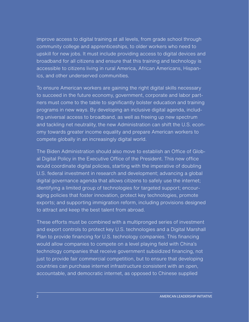improve access to digital training at all levels, from grade school through community college and apprenticeships, to older workers who need to upskill for new jobs. It must include providing access to digital devices and broadband for all citizens and ensure that this training and technology is accessible to citizens living in rural America, African Americans, Hispanics, and other underserved communities.

To ensure American workers are gaining the right digital skills necessary to succeed in the future economy, government, corporate and labor partners must come to the table to significantly bolster education and training programs in new ways. By developing an inclusive digital agenda, including universal access to broadband, as well as freeing up new spectrum and tackling net neutrality, the new Administration can shift the U.S. economy towards greater income equality and prepare American workers to compete globally in an increasingly digital world.

The Biden Administration should also move to establish an Office of Global Digital Policy in the Executive Office of the President. This new office would coordinate digital policies, starting with the imperative of doubling U.S. federal investment in research and development; advancing a global digital governance agenda that allows citizens to safely use the internet; identifying a limited group of technologies for targeted support; encouraging policies that foster innovation, protect key technologies, promote exports; and supporting immigration reform, including provisions designed to attract and keep the best talent from abroad.

These efforts must be combined with a multipronged series of investment and export controls to protect key U.S. technologies and a Digital Marshall Plan to provide financing for U.S. technology companies. This financing would allow companies to compete on a level playing field with China's technology companies that receive government subsidized financing, not just to provide fair commercial competition, but to ensure that developing countries can purchase internet infrastructure consistent with an open, accountable, and democratic internet, as opposed to Chinese supplied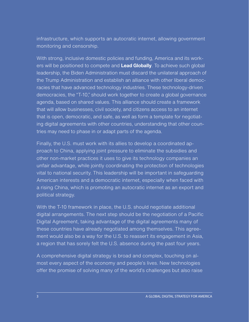infrastructure, which supports an autocratic internet, allowing government monitoring and censorship.

With strong, inclusive domestic policies and funding, America and its workers will be positioned to compete and **Lead Globally**. To achieve such global leadership, the Biden Administration must discard the unilateral approach of the Trump Administration and establish an alliance with other liberal democracies that have advanced technology industries. These technology-driven democracies, the "T-10," should work together to create a global governance agenda, based on shared values. This alliance should create a framework that will allow businesses, civil society, and citizens access to an internet that is open, democratic, and safe, as well as form a template for negotiating digital agreements with other countries, understanding that other countries may need to phase in or adapt parts of the agenda.

Finally, the U.S. must work with its allies to develop a coordinated approach to China, applying joint pressure to eliminate the subsidies and other non-market practices it uses to give its technology companies an unfair advantage, while jointly coordinating the protection of technologies vital to national security. This leadership will be important in safeguarding American interests and a democratic internet, especially when faced with a rising China, which is promoting an autocratic internet as an export and political strategy.

With the T-10 framework in place, the U.S. should negotiate additional digital arrangements. The next step should be the negotiation of a Pacific Digital Agreement, taking advantage of the digital agreements many of these countries have already negotiated among themselves. This agreement would also be a way for the U.S. to reassert its engagement in Asia, a region that has sorely felt the U.S. absence during the past four years.

A comprehensive digital strategy is broad and complex, touching on almost every aspect of the economy and people's lives. New technologies offer the promise of solving many of the world's challenges but also raise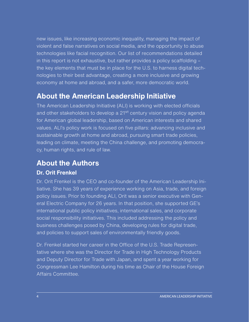new issues, like increasing economic inequality, managing the impact of violent and false narratives on social media, and the opportunity to abuse technologies like facial recognition. Our list of recommendations detailed in this report is not exhaustive, but rather provides a policy scaffolding – the key elements that must be in place for the U.S. to harness digital technologies to their best advantage, creating a more inclusive and growing economy at home and abroad, and a safer, more democratic world.

#### **About the American Leadership Initiative**

The American Leadership Initiative (ALI) is working with elected officials and other stakeholders to develop a 21<sup>st</sup> century vision and policy agenda for American global leadership, based on American interests and shared values. ALI's policy work is focused on five pillars: advancing inclusive and sustainable growth at home and abroad, pursuing smart trade policies, leading on climate, meeting the China challenge, and promoting democracy, human rights, and rule of law.

#### **About the Authors**

#### **Dr. Orit Frenkel**

Dr. Orit Frenkel is the CEO and co-founder of the American Leadership Initiative. She has 39 years of experience working on Asia, trade, and foreign policy issues. Prior to founding ALI, Orit was a senior executive with General Electric Company for 26 years. In that position, she supported GE's international public policy initiatives, international sales, and corporate social responsibility initiatives. This included addressing the policy and business challenges posed by China, developing rules for digital trade, and policies to support sales of environmentally friendly goods.

Dr. Frenkel started her career in the Office of the U.S. Trade Representative where she was the Director for Trade in High Technology Products and Deputy Director for Trade with Japan, and spent a year working for Congressman Lee Hamilton during his time as Chair of the House Foreign Affairs Committee.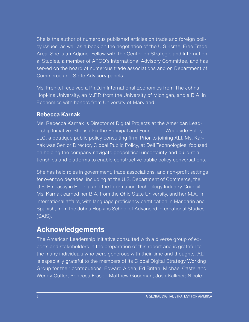She is the author of numerous published articles on trade and foreign policy issues, as well as a book on the negotiation of the U.S.-Israel Free Trade Area. She is an Adjunct Fellow with the Center on Strategic and International Studies, a member of APCO's International Advisory Committee, and has served on the board of numerous trade associations and on Department of Commerce and State Advisory panels.

Ms. Frenkel received a Ph.D.in International Economics from The Johns Hopkins University, an M.P.P. from the University of Michigan, and a B.A. in Economics with honors from University of Maryland.

#### **Rebecca Karnak**

Ms. Rebecca Karnak is Director of Digital Projects at the American Leadership Initiative. She is also the Principal and Founder of Woodside Policy LLC, a boutique public policy consulting firm. Prior to joining ALI, Ms. Karnak was Senior Director, Global Public Policy, at Dell Technologies, focused on helping the company navigate geopolitical uncertainty and build relationships and platforms to enable constructive public policy conversations.

She has held roles in government, trade associations, and non-profit settings for over two decades, including at the U.S. Department of Commerce, the U.S. Embassy in Beijing, and the Information Technology Industry Council. Ms. Karnak earned her B.A. from the Ohio State University, and her M.A. in international affairs, with language proficiency certification in Mandarin and Spanish, from the Johns Hopkins School of Advanced International Studies (SAIS).

#### **Acknowledgements**

The American Leadership Initiative consulted with a diverse group of experts and stakeholders in the preparation of this report and is grateful to the many individuals who were generous with their time and thoughts. ALI is especially grateful to the members of its Global Digital Strategy Working Group for their contributions: Edward Alden; Ed Britan; Michael Castellano; Wendy Cutler; Rebecca Fraser; Matthew Goodman; Josh Kallmer; Nicole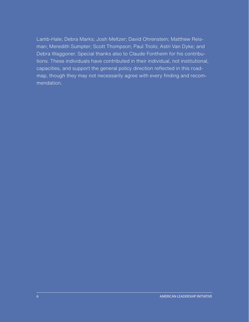Lamb-Hale; Debra Marks; Josh Meltzer; David Ohrenstein; Matthew Reisman; Meredith Sumpter; Scott Thompson; Paul Triolo; Astri Van Dyke; and Debra Waggoner. Special thanks also to Claude Fontheim for his contributions. These individuals have contributed in their individual, not institutional, capacities, and support the general policy direction reflected in this roadmap, though they may not necessarily agree with every finding and recommendation.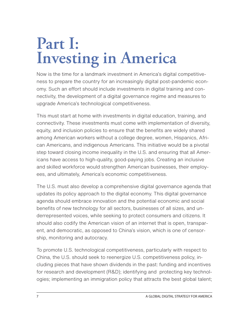## <span id="page-8-0"></span>**Part I: Investing in America**

Now is the time for a landmark investment in America's digital competitiveness to prepare the country for an increasingly digital post-pandemic economy. Such an effort should include investments in digital training and connectivity, the development of a digital governance regime and measures to upgrade America's technological competitiveness.

This must start at home with investments in digital education, training, and connectivity. These investments must come with implementation of diversity, equity, and inclusion policies to ensure that the benefits are widely shared among American workers without a college degree, women, Hispanics, African Americans, and indigenous Americans. This initiative would be a pivotal step toward closing income inequality in the U.S. and ensuring that all Americans have access to high-quality, good-paying jobs. Creating an inclusive and skilled workforce would strengthen American businesses, their employees, and ultimately, America's economic competitiveness.

The U.S. must also develop a comprehensive digital governance agenda that updates its policy approach to the digital economy. This digital governance agenda should embrace innovation and the potential economic and social benefits of new technology for all sectors, businesses of all sizes, and underrepresented voices, while seeking to protect consumers and citizens. It should also codify the American vision of an internet that is open, transparent, and democratic, as opposed to China's vision, which is one of censorship, monitoring and autocracy.

To promote U.S. technological competitiveness, particularly with respect to China, the U.S. should seek to reenergize U.S. competitiveness policy, including pieces that have shown dividends in the past: funding and incentives for research and development (R&D); identifying and protecting key technologies; implementing an immigration policy that attracts the best global talent;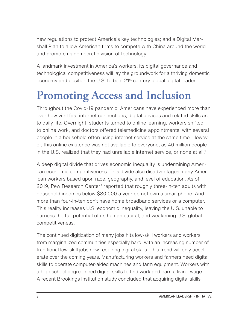<span id="page-9-0"></span>new regulations to protect America's key technologies; and a Digital Marshall Plan to allow American firms to compete with China around the world and promote its democratic vision of technology.

A landmark investment in America's workers, its digital governance and technological competitiveness will lay the groundwork for a thriving domestic economy and position the U.S. to be a  $21<sup>st</sup>$  century global digital leader.

## **Promoting Access and Inclusion**

Throughout the Covid-19 pandemic, Americans have experienced more than ever how vital fast internet connections, digital devices and related skills are to daily life. Overnight, students turned to online learning, workers shifted to online work, and doctors offered telemedicine appointments, with several people in a household often using internet service at the same time. However, this online existence was not available to everyone, as 40 million people in the U.S. realized that they had unreliable internet service, or none at all.<sup>1</sup>

A deep digital divide that drives economic inequality is undermining American economic competitiveness. This divide also disadvantages many American workers based upon race, geography, and level of education. As of [2](#page-62-0)019, Pew Research Center<sup>2</sup> reported that roughly three-in-ten adults with household incomes below \$30,000 a year do not own a smartphone. And more than four-in-ten don't have home broadband services or a computer. This reality increases U.S. economic inequality, leaving the U.S. unable to harness the full potential of its human capital, and weakening U.S. global competitiveness.

The continued digitization of many jobs hits low-skill workers and workers from marginalized communities especially hard, with an increasing number of traditional low-skill jobs now requiring digital skills. This trend will only accelerate over the coming years. Manufacturing workers and farmers need digital skills to operate computer-aided machines and farm equipment. Workers with a high school degree need digital skills to find work and earn a living wage. A recent Brookings Institution study concluded that acquiring digital skills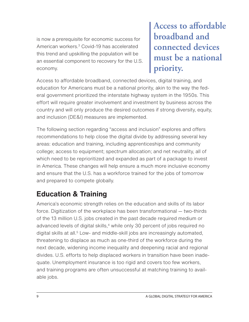<span id="page-10-0"></span>is now a prerequisite for economic success for American workers[.3](#page-62-0) Covid-19 has accelerated this trend and upskilling the population will be an essential component to recovery for the U.S. economy.

**Access to affordable broadband and connected devices must be a national priority.**

Access to affordable broadband, connected devices, digital training, and education for Americans must be a national priority, akin to the way the federal government prioritized the interstate highway system in the 1950s. This effort will require greater involvement and investment by business across the country and will only produce the desired outcomes if strong diversity, equity, and inclusion (DE&I) measures are implemented.

The following section regarding "access and inclusion" explores and offers recommendations to help close the digital divide by addressing several key areas: education and training, including apprenticeships and community college; access to equipment; spectrum allocation; and net neutrality, all of which need to be reprioritized and expanded as part of a package to invest in America. These changes will help ensure a much more inclusive economy and ensure that the U.S. has a workforce trained for the jobs of tomorrow and prepared to compete globally.

#### **Education & Training**

America's economic strength relies on the education and skills of its labor force. Digitization of the workplace has been transformational — two-thirds of the 13 million U.S. jobs created in the past decade required medium or advanced levels of digital skills,<sup>4</sup> while only 30 percent of jobs required no digital skills at all.<sup>[5](#page-62-0)</sup> Low- and middle-skill jobs are increasingly automated, threatening to displace as much as one-third of the workforce during the next decade, widening income inequality and deepening racial and regional divides. U.S. efforts to help displaced workers in transition have been inadequate. Unemployment insurance is too rigid and covers too few workers, and training programs are often unsuccessful at matching training to available jobs.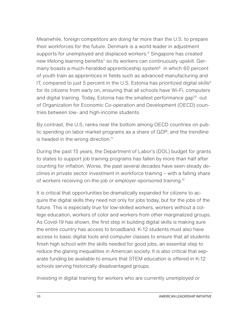Meanwhile, foreign competitors are doing far more than the U.S. to prepare their workforces for the future. Denmark is a world leader in adjustment supports for unemployed and displaced workers.<sup>[6](#page-62-0)</sup> Singapore has created new lifelong learning benefits<sup>[7](#page-62-0)</sup> so its workers can continuously upskill. Germany boasts a much-heralded apprenticeship system<sup>8</sup> in which 60 percent of youth train as apprentices in fields such as advanced manufacturing and IT, compared to just 5 percent in the U.S. Estonia has prioritized digital skills<sup>[9](#page-62-0)</sup> for its citizens from early on, ensuring that all schools have Wi-Fi, computers and digital training. Today, Estonia has the smallest performance gap<sup>10</sup> out of Organization for Economic Co-operation and Development (OECD) countries between low- and high-income students.

By contrast, the U.S. ranks near the bottom among OECD countries on public spending on labor market programs as a share of GDP; and the trendline is headed in the wrong direction.<sup>11</sup>

During the past 15 years, the Department of Labor's (DOL) budget for grants to states to support job training programs has fallen by more than half after counting for inflation. Worse, the past several decades have seen steady declines in private sector investment in workforce training – with a falling share of workers receiving on-the-job or employer-sponsored training[.12](#page-62-0)

It is critical that opportunities be dramatically expanded for citizens to acquire the digital skills they need not only for jobs today, but for the jobs of the future. This is especially true for low-skilled workers, workers without a college education, workers of color and workers from other marginalized groups. As Covid-19 has shown, the first step in building digital skills is making sure the entire country has access to broadband. K-12 students must also have access to basic digital tools and computer classes to ensure that all students finish high school with the skills needed for good jobs, an essential step to reduce the glaring inequalities in American society. It is also critical that separate funding be available to ensure that STEM education is offered in K-12 schools serving historically disadvantaged groups.

Investing in digital training for workers who are currently unemployed or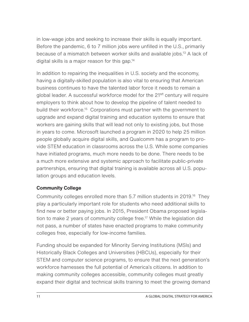in low-wage jobs and seeking to increase their skills is equally important. Before the pandemic, 6 to 7 million jobs were unfilled in the U.S., primarily because of a mismatch between worker skills and available jobs.<sup>13</sup> A lack of digital skills is a major reason for this gap[.14](#page-62-0)

In addition to repairing the inequalities in U.S. society and the economy, having a digitally-skilled population is also vital to ensuring that American business continues to have the talented labor force it needs to remain a global leader. A successful workforce model for the 21<sup>st</sup> century will require employers to think about how to develop the pipeline of talent needed to build their workforce.<sup>15</sup> Corporations must partner with the government to upgrade and expand digital training and education systems to ensure that workers are gaining skills that will lead not only to existing jobs, but those in years to come. Microsoft launched a program in 2020 to help 25 million people globally acquire digital skills, and Qualcomm has a program to provide STEM education in classrooms across the U.S. While some companies have initiated programs, much more needs to be done. There needs to be a much more extensive and systemic approach to facilitate public-private partnerships, ensuring that digital training is available across all U.S. population groups and education levels.

#### **Community College**

Community colleges enrolled more than 5.7 million students in 2019[.16](#page-62-0) They play a particularly important role for students who need additional skills to find new or better paying jobs. In 2015, President Obama proposed legislation to make 2 years of community college free.<sup>17</sup> While the legislation did not pass, a number of states have enacted programs to make community colleges free, especially for low-income families.

Funding should be expanded for Minority Serving Institutions (MSIs) and Historically Black Colleges and Universities (HBCUs), especially for their STEM and computer science programs, to ensure that the next generation's workforce harnesses the full potential of America's citizens. In addition to making community colleges accessible, community colleges must greatly expand their digital and technical skills training to meet the growing demand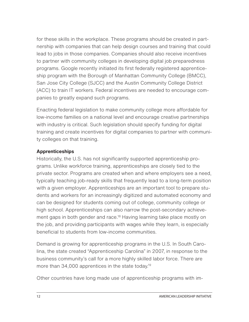for these skills in the workplace. These programs should be created in partnership with companies that can help design courses and training that could lead to jobs in those companies. Companies should also receive incentives to partner with community colleges in developing digital job preparedness programs. Google recently initiated its first federally registered apprenticeship program with the Borough of Manhattan Community College (BMCC), San Jose City College (SJCC) and the Austin Community College District (ACC) to train IT workers. Federal incentives are needed to encourage companies to greatly expand such programs.

Enacting federal legislation to make community college more affordable for low-income families on a national level and encourage creative partnerships with industry is critical. Such legislation should specify funding for digital training and create incentives for digital companies to partner with community colleges on that training.

#### **Apprenticeships**

Historically, the U.S. has not significantly supported apprenticeship programs. Unlike workforce training, apprenticeships are closely tied to the private sector. Programs are created when and where employers see a need, typically teaching job-ready skills that frequently lead to a long-term position with a given employer. Apprenticeships are an important tool to prepare students and workers for an increasingly digitized and automated economy and can be designed for students coming out of college, community college or high school. Apprenticeships can also narrow the post-secondary achievement gaps in both gender and race.<sup>18</sup> Having learning take place mostly on the job, and providing participants with wages while they learn, is especially beneficial to students from low-income communities.

Demand is growing for apprenticeship programs in the U.S. In South Carolina, the state created "Apprenticeship Carolina" in 2007, in response to the business community's call for a more highly skilled labor force. There are more than 34,000 apprentices in the state today.<sup>19</sup>

Other countries have long made use of apprenticeship programs with im-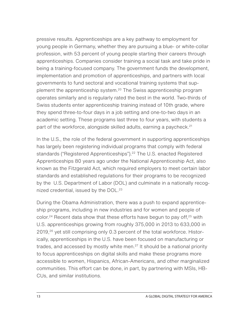pressive results. Apprenticeships are a key pathway to employment for young people in Germany, whether they are pursuing a blue- or white-collar profession, with 53 percent of young people starting their careers through apprenticeships. Companies consider training a social task and take pride in being a training-focused company. The government funds the development, implementation and promotion of apprenticeships, and partners with local governments to fund sectoral and vocational training systems that supplement the apprenticeship system.<sup>20</sup> The Swiss apprenticeship program operates similarly and is regularly rated the best in the world. Two-thirds of Swiss students enter apprenticeship training instead of 10th grade, where they spend three-to-four days in a job setting and one-to-two days in an academic setting. These programs last three to four years, with students a part of the workforce, alongside skilled adults, earning a paycheck.<sup>21</sup>

In the U.S., the role of the federal government in supporting apprenticeships has largely been registering individual programs that comply with federal standards ("Registered Apprenticeships").<sup>22</sup> The U.S. enacted Registered Apprenticeships 80 years ago under the National Apprenticeship Act, also known as the Fitzgerald Act, which required employers to meet certain labor standards and established regulations for their programs to be recognized by the U.S. Department of Labor (DOL) and culminate in a nationally recognized credential, issued by the DOL.<sup>23</sup>

During the Obama Administration, there was a push to expand apprenticeship programs, including in new industries and for women and people of color.<sup>24</sup> Recent data show that these efforts have begun to pay off,  $25$  with U.S. apprenticeships growing from roughly 375,000 in 2013 to 633,000 in 2019,[26](#page-63-0) yet still comprising only 0.3 percent of the total workforce. Historically, apprenticeships in the U.S. have been focused on manufacturing or trades, and accessed by mostly white men.<sup>[27](#page-63-0)</sup> It should be a national priority to focus apprenticeships on digital skills and make these programs more accessible to women, Hispanics, African-Americans, and other marginalized communities. This effort can be done, in part, by partnering with MSIs, HB-CUs, and similar institutions.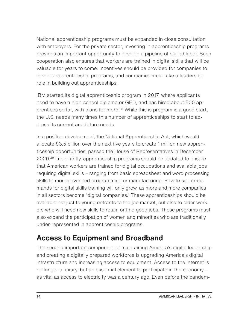<span id="page-15-0"></span>National apprenticeship programs must be expanded in close consultation with employers. For the private sector, investing in apprenticeship programs provides an important opportunity to develop a pipeline of skilled labor. Such cooperation also ensures that workers are trained in digital skills that will be valuable for years to come. Incentives should be provided for companies to develop apprenticeship programs, and companies must take a leadership role in building out apprenticeships.

IBM started its digital apprenticeship program in 2017, where applicants need to have a high-school diploma or GED, and has hired about 500 apprentices so far, with plans for more.<sup>28</sup> While this is program is a good start, the U.S. needs many times this number of apprenticeships to start to address its current and future needs.

In a positive development, the National Apprenticeship Act, which would allocate \$3.5 billion over the next five years to create 1 million new apprenticeship opportunities, passed the House of Representatives in December 2020.[29](#page-63-0) Importantly, apprenticeship programs should be updated to ensure that American workers are trained for digital occupations and available jobs requiring digital skills – ranging from basic spreadsheet and word processing skills to more advanced programming or manufacturing. Private sector demands for digital skills training will only grow, as more and more companies in all sectors become "digital companies." These apprenticeships should be available not just to young entrants to the job market, but also to older workers who will need new skills to retain or find good jobs. These programs must also expand the participation of women and minorities who are traditionally under-represented in apprenticeship programs.

#### **Access to Equipment and Broadband**

The second important component of maintaining America's digital leadership and creating a digitally prepared workforce is upgrading America's digital infrastructure and increasing access to equipment. Access to the internet is no longer a luxury, but an essential element to participate in the economy – as vital as access to electricity was a century ago. Even before the pandem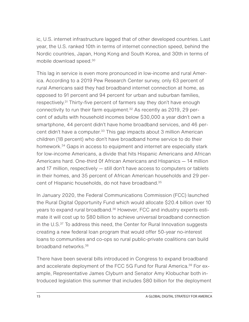ic, U.S. internet infrastructure lagged that of other developed countries. Last year, the U.S. ranked 10th in terms of internet connection speed, behind the Nordic countries, Japan, Hong Kong and South Korea, and 30th in terms of mobile download speed[.30](#page-63-0)

This lag in service is even more pronounced in low-income and rural America. According to a 2019 Pew Research Center survey, only 63 percent of rural Americans said they had broadband internet connection at home, as opposed to 91 percent and 94 percent for urban and suburban families, respectively.<sup>31</sup> Thirty-five percent of farmers say they don't have enough connectivity to run their farm equipment.<sup>32</sup> As recently as 2019, 29 percent of adults with household incomes below \$30,000 a year didn't own a smartphone, 44 percent didn't have home broadband services, and 46 percent didn't have a computer.<sup>33</sup> This gap impacts about 3 million American children (18 percent) who don't have broadband home service to do their homework.<sup>34</sup> Gaps in access to equipment and internet are especially stark for low-income Americans, a divide that hits Hispanic Americans and African Americans hard. One-third 0f African Americans and Hispanics — 14 million and 17 million, respectively — still don't have access to computers or tablets in their homes, and 35 percent of African American households and 29 percent of Hispanic households, do not have broadband.[35](#page-64-0)

In January 2020, the Federal Communications Commission (FCC) launched the Rural Digital Opportunity Fund which would allocate \$20.4 billion over 10 years to expand rural broadband.<sup>36</sup> However, FCC and industry experts estimate it will cost up to \$80 billion to achieve universal broadband connection in the U.S.<sup>[37](#page-64-0)</sup> To address this need, the Center for Rural Innovation suggests creating a new federal loan program that would offer 50-year no-interest loans to communities and co-ops so rural public-private coalitions can build broadband networks.[38](#page-64-0)

There have been several bills introduced in Congress to expand broadband and accelerate deployment of the FCC 5G Fund for Rural America.<sup>39</sup> For example, Representative James Clyburn and Senator Amy Klobuchar both introduced legislation this summer that includes \$80 billion for the deployment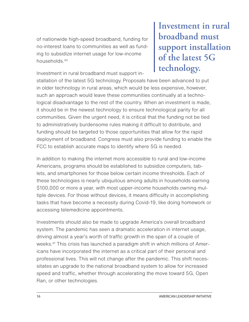of nationwide high-speed broadband, funding for no-interest loans to communities as well as funding to subsidize internet usage for low-income households.[40](#page-64-0)

Investment in rural broadband must support in-

**Investment in rural broadband must support installation of the latest 5G technology.**

stallation of the latest 5G technology. Proposals have been advanced to put in older technology in rural areas, which would be less expensive, however, such an approach would leave these communities continually at a technological disadvantage to the rest of the country. When an investment is made, it should be in the newest technology to ensure technological parity for all communities. Given the urgent need, it is critical that the funding not be tied to administratively burdensome rules making it difficult to distribute, and funding should be targeted to those opportunities that allow for the rapid deployment of broadband. Congress must also provide funding to enable the FCC to establish accurate maps to identify where 5G is needed.

In addition to making the internet more accessible to rural and low-income Americans, programs should be established to subsidize computers, tablets, and smartphones for those below certain income thresholds. Each of these technologies is nearly ubiquitous among adults in households earning \$100,000 or more a year, with most upper-income households owning multiple devices. For those without devices, it means difficulty in accomplishing tasks that have become a necessity during Covid-19, like doing homework or accessing telemedicine appointments.

Investments should also be made to upgrade America's overall broadband system. The pandemic has seen a dramatic acceleration in internet usage, driving almost a year's worth of traffic growth in the span of a couple of weeks.<sup>[41](#page-64-0)</sup> This crisis has launched a paradigm shift in which millions of Americans have incorporated the internet as a critical part of their personal and professional lives. This will not change after the pandemic. This shift necessitates an upgrade to the national broadband system to allow for increased speed and traffic, whether through accelerating the move toward 5G, Open Ran, or other technologies.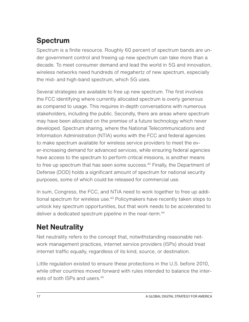#### <span id="page-18-0"></span>**Spectrum**

Spectrum is a finite resource. Roughly 60 percent of spectrum bands are under government control and freeing up new spectrum can take more than a decade. To meet consumer demand and lead the world in 5G and innovation, wireless networks need hundreds of megahertz of new spectrum, especially the mid- and high-band spectrum, which 5G uses.

Several strategies are available to free up new spectrum. The first involves the FCC identifying where currently allocated spectrum is overly generous as compared to usage. This requires in-depth conversations with numerous stakeholders, including the public. Secondly, there are areas where spectrum may have been allocated on the premise of a future technology which never developed. Spectrum sharing, where the National Telecommunications and Information Administration (NTIA) works with the FCC and federal agencies to make spectrum available for wireless service providers to meet the ever-increasing demand for advanced services, while ensuring federal agencies have access to the spectrum to perform critical missions, is another means to free up spectrum that has seen some success.<sup>42</sup> Finally, the Department of Defense (DOD) holds a significant amount of spectrum for national security purposes, some of which could be released for commercial use.

In sum, Congress, the FCC, and NTIA need to work together to free up additional spectrum for wireless use.<sup>43</sup> Policymakers have recently taken steps to unlock key spectrum opportunities, but that work needs to be accelerated to deliver a dedicated spectrum pipeline in the near-term.<sup>[44](#page-64-0)</sup>

#### **Net Neutrality**

Net neutrality refers to the concept that, notwithstanding reasonable network management practices, internet service providers (ISPs) should treat internet traffic equally, regardless of its kind, source, or destination.

Little regulation existed to ensure these protections in the U.S. before 2010, while other countries moved forward with rules intended to balance the inter-ests of both ISPs and users [45](#page-64-0)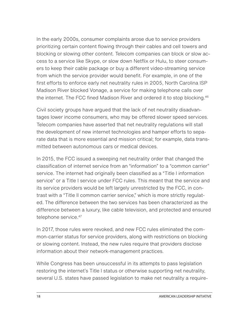In the early 2000s, consumer complaints arose due to service providers prioritizing certain content flowing through their cables and cell towers and blocking or slowing other content. Telecom companies can block or slow access to a service like Skype, or slow down Netflix or Hulu, to steer consumers to keep their cable package or buy a different video-streaming service from which the service provider would benefit. For example, in one of the first efforts to enforce early net neutrality rules in 2005, North Carolina ISP Madison River blocked Vonage, a service for making telephone calls over the internet. The FCC fined Madison River and ordered it to stop blocking.<sup>46</sup>

Civil society groups have argued that the lack of net neutrality disadvantages lower income consumers, who may be offered slower speed services. Telecom companies have asserted that net neutrality regulations will stall the development of new internet technologies and hamper efforts to separate data that is more essential and mission critical; for example, data transmitted between autonomous cars or medical devices.

In 2015, the FCC issued a sweeping net neutrality order that changed the classification of internet service from an "information" to a "common carrier" service. The internet had originally been classified as a "Title I information service" or a Title I service under FCC rules. This meant that the service and its service providers would be left largely unrestricted by the FCC, in contrast with a "Title II common carrier service," which is more strictly regulated. The difference between the two services has been characterized as the difference between a luxury, like cable television, and protected and ensured telephone service.<sup>[47](#page-64-0)</sup>

In 2017, those rules were revoked, and new FCC rules eliminated the common-carrier status for service providers, along with restrictions on blocking or slowing content. Instead, the new rules require that providers disclose information about their network-management practices.

While Congress has been unsuccessful in its attempts to pass legislation restoring the internet's Title I status or otherwise supporting net neutrality, several U.S. states have passed legislation to make net neutrality a require-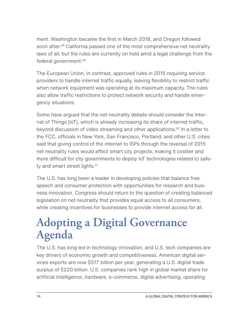<span id="page-20-0"></span>ment. Washington became the first in March 2018, and Oregon followed soon after.<sup>48</sup> California passed one of the most comprehensive net neutrality laws of all, but the rules are currently on hold amid a legal challenge from the federal government[.49](#page-65-0)

The European Union, in contrast, approved rules in 2015 requiring service providers to handle internet traffic equally, leaving flexibility to restrict traffic when network equipment was operating at its maximum capacity. The rules also allow traffic restrictions to protect network security and handle emergency situations.

Some have argued that the net neutrality debate should consider the Internet of Things (IoT), which is already increasing its share of internet traffic, beyond discussion of video streaming and other applications.<sup>50</sup> In a letter to the FCC, officials in New York, San Francisco, Portland, and other U.S. cities said that giving control of the internet to ISPs through the reversal of 2015 net neutrality rules would affect smart city projects, making it costlier and more difficult for city governments to deploy IoT technologies related to safety and smart street lights.<sup>51</sup>

The U.S. has long been a leader in developing policies that balance free speech and consumer protection with opportunities for research and business innovation. Congress should return to the question of creating balanced legislation on net neutrality that provides equal access to all consumers, while creating incentives for businesses to provide internet access for all.

## **Adopting a Digital Governance Agenda**

The U.S. has long led in technology innovation, and U.S. tech companies are key drivers of economic growth and competitiveness. American digital services exports are now \$517 billion per year, generating a U.S. digital trade surplus of \$220 billion. U.S. companies rank high in global market share for artificial intelligence, hardware, e-commerce, digital advertising, operating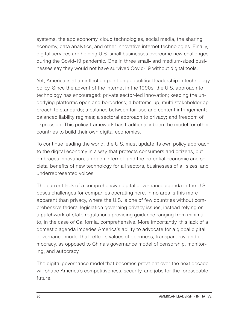systems, the app economy, cloud technologies, social media, the sharing economy, data analytics, and other innovative internet technologies. Finally, digital services are helping U.S. small businesses overcome new challenges during the Covid-19 pandemic. One in three small- and medium-sized businesses say they would not have survived Covid-19 without digital tools.

Yet, America is at an inflection point on geopolitical leadership in technology policy. Since the advent of the internet in the 1990s, the U.S. approach to technology has encouraged: private sector-led innovation; keeping the underlying platforms open and borderless; a bottoms-up, multi-stakeholder approach to standards; a balance between fair use and content infringement; balanced liability regimes; a sectoral approach to privacy; and freedom of expression. This policy framework has traditionally been the model for other countries to build their own digital economies.

To continue leading the world, the U.S. must update its own policy approach to the digital economy in a way that protects consumers and citizens, but embraces innovation, an open internet, and the potential economic and societal benefits of new technology for all sectors, businesses of all sizes, and underrepresented voices.

The current lack of a comprehensive digital governance agenda in the U.S. poses challenges for companies operating here. In no area is this more apparent than privacy, where the U.S. is one of few countries without comprehensive federal legislation governing privacy issues, instead relying on a patchwork of state regulations providing guidance ranging from minimal to, in the case of California, comprehensive. More importantly, this lack of a domestic agenda impedes America's ability to advocate for a global digital governance model that reflects values of openness, transparency, and democracy, as opposed to China's governance model of censorship, monitoring, and autocracy.

The digital governance model that becomes prevalent over the next decade will shape America's competitiveness, security, and jobs for the foreseeable future.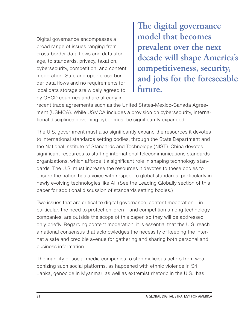Digital governance encompasses a broad range of issues ranging from cross-border data flows and data storage, to standards, privacy, taxation, cybersecurity, competition, and content moderation. Safe and open cross-border data flows and no requirements for local data storage are widely agreed to by OECD countries and are already in

**The digital governance model that becomes prevalent over the next decade will shape America's competitiveness, security, and jobs for the foreseeable future.**

recent trade agreements such as the United States-Mexico-Canada Agreement (USMCA). While USMCA includes a provision on cybersecurity, international disciplines governing cyber must be significantly expanded.

The U.S. government must also significantly expand the resources it devotes to international standards setting bodies, through the State Department and the National Institute of Standards and Technology (NIST). China devotes significant resources to staffing international telecommunications standards organizations, which affords it a significant role in shaping technology standards. The U.S. must increase the resources it devotes to these bodies to ensure the nation has a voice with respect to global standards, particularly in newly evolving technologies like AI. (See the Leading Globally section of this paper for additional discussion of standards setting bodies.)

Two issues that are critical to digital governance, content moderation – in particular, the need to protect children – and competition among technology companies, are outside the scope of this paper, so they will be addressed only briefly. Regarding content moderation, it is essential that the U.S. reach a national consensus that acknowledges the necessity of keeping the internet a safe and credible avenue for gathering and sharing both personal and business information.

The inability of social media companies to stop malicious actors from weaponizing such social platforms, as happened with ethnic violence in Sri Lanka, genocide in Myanmar, as well as extremist rhetoric in the U.S., has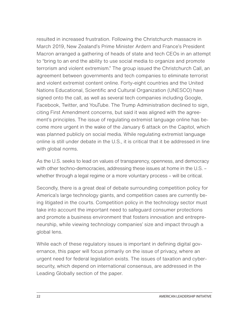resulted in increased frustration. Following the Christchurch massacre in March 2019, New Zealand's Prime Minister Ardern and France's President Macron arranged a gathering of heads of state and tech CEOs in an attempt to "bring to an end the ability to use social media to organize and promote terrorism and violent extremism." The group issued the Christchurch Call, an agreement between governments and tech companies to eliminate terrorist and violent extremist content online. Forty-eight countries and the United Nations Educational, Scientific and Cultural Organization (UNESCO) have signed onto the call, as well as several tech companies including Google, Facebook, Twitter, and YouTube. The Trump Administration declined to sign, citing First Amendment concerns, but said it was aligned with the agreement's principles. The issue of regulating extremist language online has become more urgent in the wake of the January 6 attack on the Capitol, which was planned publicly on social media. While regulating extremist language online is still under debate in the U.S., it is critical that it be addressed in line with global norms.

As the U.S. seeks to lead on values of transparency, openness, and democracy with other techno-democracies, addressing these issues at home in the U.S. – whether through a legal regime or a more voluntary process – will be critical.

Secondly, there is a great deal of debate surrounding competition policy for America's large technology giants, and competition cases are currently being litigated in the courts. Competition policy in the technology sector must take into account the important need to safeguard consumer protections and promote a business environment that fosters innovation and entrepreneurship, while viewing technology companies' size and impact through a global lens.

While each of these regulatory issues is important in defining digital governance, this paper will focus primarily on the issue of privacy, where an urgent need for federal legislation exists. The issues of taxation and cybersecurity, which depend on international consensus, are addressed in the Leading Globally section of the paper.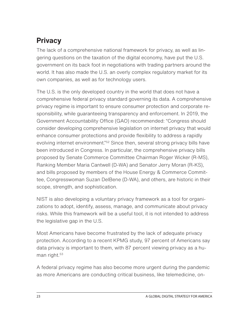#### <span id="page-24-0"></span>**Privacy**

The lack of a comprehensive national framework for privacy, as well as lingering questions on the taxation of the digital economy, have put the U.S. government on its back foot in negotiations with trading partners around the world. It has also made the U.S. an overly complex regulatory market for its own companies, as well as for technology users.

The U.S. is the only developed country in the world that does not have a comprehensive federal privacy standard governing its data. A comprehensive privacy regime is important to ensure consumer protection and corporate responsibility, while guaranteeing transparency and enforcement. In 2019, the Government Accountability Office (GAO) recommended: "Congress should consider developing comprehensive legislation on internet privacy that would enhance consumer protections and provide flexibility to address a rapidly evolving internet environment."<sup>52</sup> Since then, several strong privacy bills have been introduced in Congress. In particular, the comprehensive privacy bills proposed by Senate Commerce Committee Chairman Roger Wicker (R-MS), Ranking Member Maria Cantwell (D-WA) and Senator Jerry Moran (R-KS), and bills proposed by members of the House Energy & Commerce Committee, Congresswoman Suzan DelBene (D-WA), and others, are historic in their scope, strength, and sophistication.

NIST is also developing a voluntary privacy framework as a tool for organizations to adopt, identify, assess, manage, and communicate about privacy risks. While this framework will be a useful tool, it is not intended to address the legislative gap in the U.S.

Most Americans have become frustrated by the lack of adequate privacy protection. According to a recent KPMG study, 97 percent of Americans say data privacy is important to them, with 87 percent viewing privacy as a human right.<sup>53</sup>

A federal privacy regime has also become more urgent during the pandemic as more Americans are conducting critical business, like telemedicine, on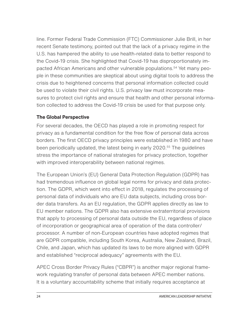line. Former Federal Trade Commission (FTC) Commissioner Julie Brill, in her recent Senate testimony, pointed out that the lack of a privacy regime in the U.S. has hampered the ability to use health-related data to better respond to the Covid-19 crisis. She highlighted that Covid-19 has disproportionately impacted African Americans and other vulnerable populations.[54](#page-65-0) Yet many people in these communities are skeptical about using digital tools to address the crisis due to heightened concerns that personal information collected could be used to violate their civil rights. U.S. privacy law must incorporate measures to protect civil rights and ensure that health and other personal information collected to address the Covid-19 crisis be used for that purpose only.

#### **The Global Perspective**

For several decades, the OECD has played a role in promoting respect for privacy as a fundamental condition for the free flow of personal data across borders. The first OECD privacy principles were established in 1980 and have been periodically updated, the latest being in early 2020.<sup>55</sup> The quidelines stress the importance of national strategies for privacy protection, together with improved interoperability between national regimes.

The European Union's (EU) General Data Protection Regulation (GDPR) has had tremendous influence on global legal norms for privacy and data protection. The GDPR, which went into effect in 2018, regulates the processing of personal data of individuals who are EU data subjects, including cross border data transfers. As an EU regulation, the GDPR applies directly as law to EU member nations. The GDPR also has extensive extraterritorial provisions that apply to processing of personal data outside the EU, regardless of place of incorporation or geographical area of operation of the data controller/ processor. A number of non-European countries have adopted regimes that are GDPR compatible, including South Korea, Australia, New Zealand, Brazil, Chile, and Japan, which has updated its laws to be more aligned with GDPR and established "reciprocal adequacy" agreements with the EU.

APEC Cross Border Privacy Rules ("CBPR") is another major regional framework regulating transfer of personal data between APEC member nations. It is a voluntary accountability scheme that initially requires acceptance at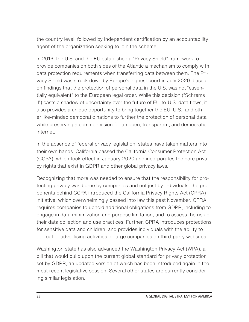the country level, followed by independent certification by an accountability agent of the organization seeking to join the scheme.

In 2016, the U.S. and the EU established a "Privacy Shield" framework to provide companies on both sides of the Atlantic a mechanism to comply with data protection requirements when transferring data between them. The Privacy Shield was struck down by Europe's highest court in July 2020, based on findings that the protection of personal data in the U.S. was not "essentially equivalent" to the European legal order. While this decision ("Schrems II") casts a shadow of uncertainty over the future of EU-to-U.S. data flows, it also provides a unique opportunity to bring together the EU, U.S., and other like-minded democratic nations to further the protection of personal data while preserving a common vision for an open, transparent, and democratic internet.

In the absence of federal privacy legislation, states have taken matters into their own hands. California passed the California Consumer Protection Act (CCPA), which took effect in January 2020 and incorporates the core privacy rights that exist in GDPR and other global privacy laws.

Recognizing that more was needed to ensure that the responsibility for protecting privacy was borne by companies and not just by individuals, the proponents behind CCPA introduced the California Privacy Rights Act (CPRA) initiative, which overwhelmingly passed into law this past November. CPRA requires companies to uphold additional obligations from GDPR, including to engage in data minimization and purpose limitation, and to assess the risk of their data collection and use practices. Further, CPRA introduces protections for sensitive data and children, and provides individuals with the ability to opt-out of advertising activities of large companies on third-party websites.

Washington state has also advanced the Washington Privacy Act (WPA), a bill that would build upon the current global standard for privacy protection set by GDPR, an updated version of which has been introduced again in the most recent legislative session. Several other states are currently considering similar legislation.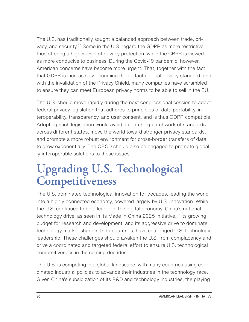<span id="page-27-0"></span>The U.S. has traditionally sought a balanced approach between trade, privacy, and security[.56](#page-65-0) Some in the U.S. regard the GDPR as more restrictive, thus offering a higher level of privacy protection, while the CBPR is viewed as more conducive to business. During the Covid-19 pandemic, however, American concerns have become more urgent. That, together with the fact that GDPR is increasingly becoming the de facto global privacy standard, and with the invalidation of the Privacy Shield, many companies have scrambled to ensure they can meet European privacy norms to be able to sell in the EU.

The U.S. should move rapidly during the next congressional session to adopt federal privacy legislation that adheres to principles of data portability, interoperability, transparency, and user consent, and is thus GDPR compatible. Adopting such legislation would avoid a confusing patchwork of standards across different states, move the world toward stronger privacy standards, and promote a more robust environment for cross-border transfers of data to grow exponentially. The OECD should also be engaged to promote globally interoperable solutions to these issues.

### **Upgrading U.S. Technological Competitiveness**

The U.S. dominated technological innovation for decades, leading the world into a highly connected economy, powered largely by U.S. innovation. While the U.S. continues to be a leader in the digital economy, China's national technology drive, as seen in its Made in China 2025 initiative,<sup>57</sup> its growing budget for research and development, and its aggressive drive to dominate technology market share in third countries, have challenged U.S. technology leadership. These challenges should awaken the U.S. from complacency and drive a coordinated and targeted federal effort to ensure U.S. technological competitiveness in the coming decades.

The U.S. is competing in a global landscape, with many countries using coordinated industrial policies to advance their industries in the technology race. Given China's subsidization of its R&D and technology industries, the playing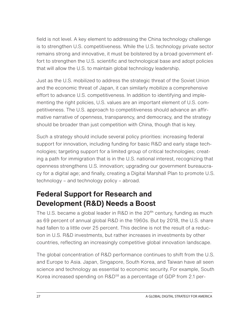<span id="page-28-0"></span>field is not level. A key element to addressing the China technology challenge is to strengthen U.S. competitiveness. While the U.S. technology private sector remains strong and innovative, it must be bolstered by a broad government effort to strengthen the U.S. scientific and technological base and adopt policies that will allow the U.S. to maintain global technology leadership.

Just as the U.S. mobilized to address the strategic threat of the Soviet Union and the economic threat of Japan, it can similarly mobilize a comprehensive effort to advance U.S. competitiveness. In addition to identifying and implementing the right policies, U.S. values are an important element of U.S. competitiveness. The U.S. approach to competitiveness should advance an affirmative narrative of openness, transparency, and democracy, and the strategy should be broader than just competition with China, though that is key.

Such a strategy should include several policy priorities: increasing federal support for innovation, including funding for basic R&D and early stage technologies; targeting support for a limited group of critical technologies; creating a path for immigration that is in the U.S. national interest, recognizing that openness strengthens U.S. innovation; upgrading our government bureaucracy for a digital age; and finally, creating a Digital Marshall Plan to promote U.S. technology – and technology policy – abroad.

#### **Federal Support for Research and Development (R&D) Needs a Boost**

The U.S. became a global leader in R&D in the 20<sup>th</sup> century, funding as much as 69 percent of annual global R&D in the 1960s. But by 2018, the U.S. share had fallen to a little over 25 percent. This decline is not the result of a reduction in U.S. R&D investments, but rather increases in investments by other countries, reflecting an increasingly competitive global innovation landscape.

The global concentration of R&D performance continues to shift from the U.S. and Europe to Asia. Japan, Singapore, South Korea, and Taiwan have all seen science and technology as essential to economic security. For example, South Korea increased spending on R&D<sup>58</sup> as a percentage of GDP from 2.1 per-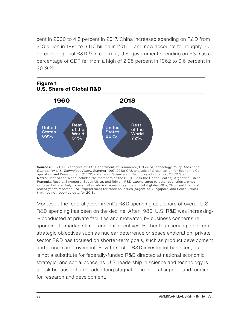cent in 2000 to 4.5 percent in 2017. China increased spending on R&D from \$13 billion in 1991 to \$410 billion in 2016 – and now accounts for roughly 20 percent of global R&D.[59](#page-65-0) In contrast, U.S. government spending on R&D as a percentage of GDP fell from a high of 2.25 percent in 1962 to 0.6 percent in 2019.[60](#page-65-0)



**Sources:** 1960: CRS analysis of U.S. Department of Commerce, Office of Technology Policy, *The Global Context for U.S. Technology Policy,* Summer 1997. 2018: CRS analysis of Organisation for Economic Cooperation and Development (OECD) data, Main Science and Technology Indicators, OECD.Stat. **Notes:** Rest of the World includes the members of the OECD (less the United States), Argentina, China, Romania, Russia, Singapore, South Africa, and Taiwan. R&D expenditures by other countries are not included but are likely to be small in relative terms. In estimating total global R&D, CRS used the most recent year's reported R&D expenditures for three countries (Argentina, Singapore, and South Africa) that had not reported data for 2018.

Moreover, the federal government's R&D spending as a share of overall U.S. R&D spending has been on the decline. After 1980, U.S. R&D was increasingly conducted at private facilities and motivated by business concerns responding to market stimuli and tax incentives. Rather than serving long-term strategic objectives such as nuclear deterrence or space exploration, private sector R&D has focused on shorter-term goals, such as product development and process improvement. Private-sector R&D investment has risen, but it is not a substitute for federally-funded R&D directed at national economic, strategic, and social concerns. U.S. leadership in science and technology is at risk because of a decades-long stagnation in federal support and funding for research and development.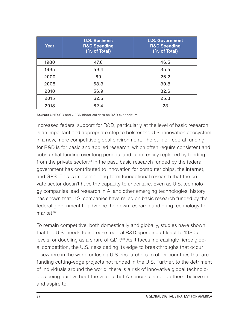| Year | <b>U.S. Business</b><br><b>R&amp;D Spending</b><br>(% of Total) | <b>U.S. Government</b><br><b>R&amp;D Spending</b><br>(% of Total) |
|------|-----------------------------------------------------------------|-------------------------------------------------------------------|
| 1980 | 47.6                                                            | 46.5                                                              |
| 1995 | 59.4                                                            | 35.5                                                              |
| 2000 | 69                                                              | 26.2                                                              |
| 2005 | 63.3                                                            | 30.8                                                              |
| 2010 | 56.9                                                            | 32.6                                                              |
| 2015 | 62.5                                                            | 25.3                                                              |
| 2018 | 62.4                                                            | 23                                                                |

**Source:** UNESCO and OECD historical data on R&D expenditure

Increased federal support for R&D, particularly at the level of basic research, is an important and appropriate step to bolster the U.S. innovation ecosystem in a new, more competitive global environment. The bulk of federal funding for R&D is for basic and applied research, which often require consistent and substantial funding over long periods, and is not easily replaced by funding from the private sector.<sup>[61](#page-65-0)</sup> In the past, basic research funded by the federal government has contributed to innovation for computer chips, the internet, and GPS. This is important long-term foundational research that the private sector doesn't have the capacity to undertake. Even as U.S. technology companies lead research in AI and other emerging technologies, history has shown that U.S. companies have relied on basic research funded by the federal government to advance their own research and bring technology to marke[t.62](#page-66-0)

To remain competitive, both domestically and globally, studies have shown that the U.S. needs to increase federal R&D spending at least to 1980s levels, or doubling as a share of GDP.<sup>63</sup> As it faces increasingly fierce global competition, the U.S. risks ceding its edge to breakthroughs that occur elsewhere in the world or losing U.S. researchers to other countries that are funding cutting-edge projects not funded in the U.S. Further, to the detriment of individuals around the world, there is a risk of innovative global technologies being built without the values that Americans, among others, believe in and aspire to.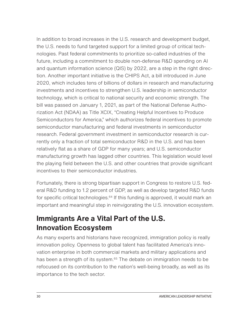<span id="page-31-0"></span>In addition to broad increases in the U.S. research and development budget, the U.S. needs to fund targeted support for a limited group of critical technologies. Past federal commitments to prioritize so-called industries of the future, including a commitment to double non-defense R&D spending on AI and quantum information science (QIS) by 2022, are a step in the right direction. Another important initiative is the CHIPS Act, a bill introduced in June 2020, which includes tens of billions of dollars in research and manufacturing investments and incentives to strengthen U.S. leadership in semiconductor technology, which is critical to national security and economic strength. The bill was passed on January 1, 2021, as part of the National Defense Authorization Act (NDAA) as Title XCIX, "Creating Helpful Incentives to Produce Semiconductors for America," which authorizes federal incentives to promote semiconductor manufacturing and federal investments in semiconductor research. Federal government investment in semiconductor research is currently only a fraction of total semiconductor R&D in the U.S. and has been relatively flat as a share of GDP for many years; and U.S. semiconductor manufacturing growth has lagged other countries. This legislation would level the playing field between the U.S. and other countries that provide significant incentives to their semiconductor industries.

Fortunately, there is strong bipartisan support in Congress to restore U.S. federal R&D funding to 1.2 percent of GDP, as well as develop targeted R&D funds for specific critical technologies.<sup>64</sup> If this funding is approved, it would mark an important and meaningful step in reinvigorating the U.S. innovation ecosystem.

#### **Immigrants Are a Vital Part of the U.S. Innovation Ecosystem**

As many experts and historians have recognized, immigration policy is really innovation policy. Openness to global talent has facilitated America's innovation enterprise in both commercial markets and military applications and has been a strength of its system.<sup>65</sup> The debate on immigration needs to be refocused on its contribution to the nation's well-being broadly, as well as its importance to the tech sector.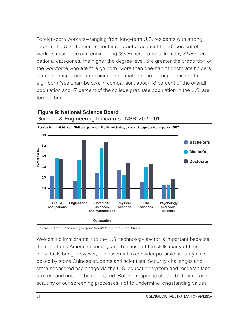Foreign-born workers—ranging from long-term U.S. residents with strong roots in the U.S., to more recent immigrants—account for 30 percent of workers in science and engineering (S&E) occupations. In many S&E occupational categories, the higher the degree level, the greater the proportion of the workforce who are foreign born. More than one-half of doctorate holders in engineering, computer science, and mathematics occupations are foreign born (see chart below). In comparison, about 18 percent of the overall population and 17 percent of the college graduate population in the U.S. are foreign born.



#### **Figure 9: National Science Board**

**Source:** https://ncses.nsf.gov/pubs/nsb20201/u-s-s-e-workforce

Welcoming immigrants into the U.S. technology sector is important because it strengthens American society, and because of the skills many of these individuals bring. However, it is essential to consider possible security risks posed by some Chinese students and scientists. Security challenges and state-sponsored espionage via the U.S. education system and research labs are real and need to be addressed. But the response should be to increase scrutiny of our screening processes, not to undermine longstanding values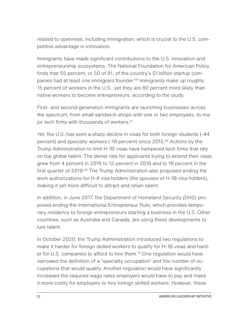related to openness, including immigration, which is crucial to the U.S. competitive advantage in innovation.

Immigrants have made significant contributions to the U.S. innovation and entrepreneurship ecosystems. The National Foundation for American Policy finds that 55 percent, or 50 of 91, of the country's \$1 billion startup com-panies had at least one immigrant founder.<sup>[66](#page-66-0)</sup> Immigrants make up roughly 15 percent of workers in the U.S., yet they are 80 percent more likely than native workers to become entrepreneurs, according to the study.

First- and second-generation immigrants are launching businesses across the spectrum, from small sandwich shops with one or two employees, to major tech firms with thousands of workers.<sup>67</sup>

Yet, the U.S. has seen a sharp decline in visas for both foreign students (-44 percent) and specialty workers (-18 percent) since 2015.<sup>[68](#page-66-0)</sup> Actions by the Trump Administration to limit H-1B visas have hampered tech firms that rely on top global talent. The denial rate for applicants trying to extend their visas grew from 4 percent in 2016 to 12 percent in 2018 and to 18 percent in the first quarter of 2019.<sup>[69](#page-66-0)</sup> The Trump Administration also proposed ending the work authorizations for H-4 visa holders (the spouses of H-1B visa holders), making it yet more difficult to attract and retain talent.

In addition, in June 2017, the Department of Homeland Security (DHS) proposed ending the International Entrepreneur Rule, which provides temporary residency to foreign entrepreneurs starting a business in the U.S. Other countries, such as Australia and Canada, are using these developments to lure talent.

In October 2020, the Trump Administration introduced two regulations to make it harder for foreign skilled workers to qualify for H-1B visas and harder for U.S. companies to afford to hire them.<sup>70</sup> One regulation would have narrowed the definition of a "specialty occupation" and the number of occupations that would qualify. Another regulation would have significantly increased the required wage rates employers would have to pay and make it more costly for employers to hire foreign skilled workers. However, these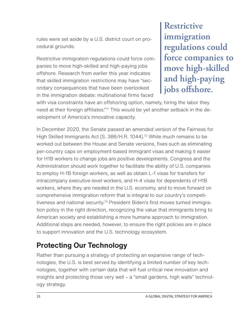<span id="page-34-0"></span>rules were set aside by a U.S. district court on procedural grounds.

Restrictive immigration regulations could force companies to move high-skilled and high-paying jobs offshore. Research from earlier this year indicates that skilled immigration restrictions may have "secondary consequences that have been overlooked in the immigration debate: multinational firms faced

**Restrictive immigration regulations could force companies to move high-skilled and high-paying jobs offshore.**

with visa constraints have an offshoring option, namely, hiring the labor they need at their foreign affiliates."<sup>71</sup> This would be yet another setback in the development of America's innovative capacity.

In December 2020, the Senate passed an amended version of the Fairness for High Skilled Immigrants Act (S. 386/H.R. 1044).<sup>72</sup> While much remains to be worked out between the House and Senate versions, fixes such as eliminating per-country caps on employment-based immigrant visas and making it easier for H1B workers to change jobs are positive developments. Congress and the Administration should work together to facilitate the ability of U.S. companies to employ H-1B foreign workers, as well as obtain L-1 visas for transfers for intracompany executive-level workers, and H-4 visas for dependents of H1B workers, where they are needed in the U.S. economy, and to move forward on comprehensive immigration reform that is integral to our country's competitiveness and national security.<sup>73</sup> President Biden's first moves turned immigration policy in the right direction, recognizing the value that immigrants bring to American society and establishing a more humane approach to immigration. Additional steps are needed, however, to ensure the right policies are in place to support innovation and the U.S. technology ecosystem.

#### **Protecting Our Technology**

Rather than pursuing a strategy of protecting an expansive range of technologies, the U.S. is best served by identifying a limited number of key technologies, together with certain data that will fuel critical new innovation and insights and protecting those very well – a "small gardens, high walls" technology strategy.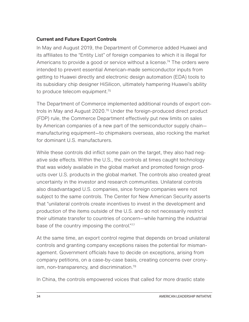#### **Current and Future Export Controls**

In May and August 2019, the Department of Commerce added Huawei and its affiliates to the "Entity List" of foreign companies to which it is illegal for Americans to provide a good or service without a license.<sup>74</sup> The orders were intended to prevent essential American-made semiconductor inputs from getting to Huawei directly and electronic design automation (EDA) tools to its subsidiary chip designer HiSilicon, ultimately hampering Huawei's ability to produce telecom equipment.<sup>75</sup>

The Department of Commerce implemented additional rounds of export controls in May and August 2020[.76](#page-67-0) Under the foreign-produced direct product (FDP) rule, the Commerce Department effectively put new limits on sales by American companies of a new part of the semiconductor supply chain manufacturing equipment—to chipmakers overseas, also rocking the market for dominant U.S. manufacturers.

While these controls did inflict some pain on the target, they also had negative side effects. Within the U.S., the controls at times caught technology that was widely available in the global market and promoted foreign products over U.S. products in the global market. The controls also created great uncertainty in the investor and research communities. Unilateral controls also disadvantaged U.S. companies, since foreign companies were not subject to the same controls. The Center for New American Security asserts that "unilateral controls create incentives to invest in the development and production of the items outside of the U.S. and do not necessarily restrict their ultimate transfer to countries of concern—while harming the industrial base of the country imposing the control.["77](#page-67-0)

At the same time, an export control regime that depends on broad unilateral controls and granting company exceptions raises the potential for mismanagement. Government officials have to decide on exceptions, arising from company petitions, on a case-by-case basis, creating concerns over cronyism, non-transparency, and discrimination. $^{78}$ 

In China, the controls empowered voices that called for more drastic state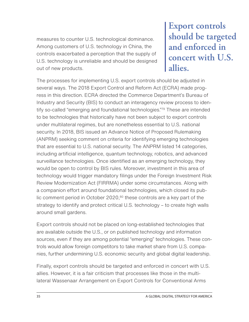measures to counter U.S. technological dominance. Among customers of U.S. technology in China, the controls exacerbated a perception that the supply of U.S. technology is unreliable and should be designed out of new products.

**Export controls should be targeted and enforced in concert with U.S. allies.**

The processes for implementing U.S. export controls should be adjusted in several ways. The 2018 Export Control and Reform Act (ECRA) made progress in this direction. ECRA directed the Commerce Department's Bureau of Industry and Security (BIS) to conduct an interagency review process to identify so-called "emerging and foundational technologies.["79](#page-67-0) These are intended to be technologies that historically have not been subject to export controls under multilateral regimes, but are nonetheless essential to U.S. national security. In 2018, BIS issued an Advance Notice of Proposed Rulemaking (ANPRM) seeking comment on criteria for identifying emerging technologies that are essential to U.S. national security. The ANPRM listed 14 categories, including artificial intelligence, quantum technology, robotics, and advanced surveillance technologies. Once identified as an emerging technology, they would be open to control by BIS rules. Moreover, investment in this area of technology would trigger mandatory filings under the Foreign Investment Risk Review Modernization Act (FIRRMA) under some circumstances. Along with a companion effort around foundational technologies, which closed its public comment period in October 2020, $80$  these controls are a key part of the strategy to identify and protect critical U.S. technology – to create high walls around small gardens.

Export controls should not be placed on long-established technologies that are available outside the U.S., or on published technology and information sources, even if they are among potential "emerging" technologies. These controls would allow foreign competitors to take market share from U.S. companies, further undermining U.S. economic security and global digital leadership.

Finally, export controls should be targeted and enforced in concert with U.S. allies. However, it is a fair criticism that processes like those in the multilateral Wassenaar Arrangement on Export Controls for Conventional Arms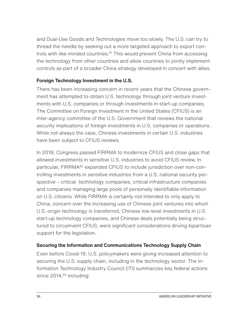<span id="page-37-0"></span>and Dual-Use Goods and Technologies move too slowly. The U.S. can try to thread the needle by seeking out a more targeted approach to export controls with like-minded countries.<sup>81</sup> This would prevent China from accessing the technology from other countries and allow countries to jointly implement controls as part of a broader China strategy developed in concert with allies.

#### **Foreign Technology Investment in the U.S.**

There has been increasing concern in recent years that the Chinese government has attempted to obtain U.S. technology through joint venture investments with U.S. companies or through investments in start-up companies. The Committee on Foreign Investment in the United States (CFIUS) is an inter-agency committee of the U.S. Government that reviews the national security implications of foreign investments in U.S. companies or operations. While not always the case, Chinese investments in certain U.S. industries have been subject to CFIUS reviews.

In 2018, Congress passed FIRRMA to modernize CFIUS and close gaps that allowed investments in sensitive U.S. industries to avoid CFIUS review. In particular, FIRRMA<sup>82</sup> expanded CFIUS to include jurisdiction over non-controlling investments in sensitive industries from a U.S. national security perspective – critical technology companies, critical infrastructure companies and companies managing large pools of personally identifiable information on U.S. citizens. While FIRRMA is certainly not intended to only apply to China, concern over the increasing use of Chinese joint ventures into which U.S.-origin technology is transferred, Chinese low-level investments in U.S. start-up technology companies, and Chinese deals potentially being structured to circumvent CFIUS, were significant considerations driving bipartisan support for the legislation.

#### **Securing the Information and Communications Technology Supply Chain**

Even before Covid-19, U.S. policymakers were giving increased attention to securing the U.S. supply chain, including in the technology sector. The Information Technology Industry Council (ITI) summarizes key federal actions since  $2014$ ,  $83$  including: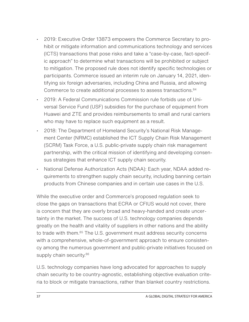- 2019: Executive Order 13873 empowers the Commerce Secretary to prohibit or mitigate information and communications technology and services (ICTS) transactions that pose risks and take a "case-by-case, fact-specific approach" to determine what transactions will be prohibited or subject to mitigation. The proposed rule does not identify specific technologies or participants. Commerce issued an interim rule on January 14, 2021, identifying six foreign adversaries, including China and Russia, and allowing Commerce to create additional processes to assess transactions.<sup>84</sup>
- 2019: A Federal Communications Commission rule forbids use of Universal Service Fund (USF) subsidies for the purchase of equipment from Huawei and ZTE and provides reimbursements to small and rural carriers who may have to replace such equipment as a result.
- 2018: The Department of Homeland Security's National Risk Management Center (NRMC) established the ICT Supply Chain Risk Management (SCRM) Task Force, a U.S. public-private supply chain risk management partnership, with the critical mission of identifying and developing consensus strategies that enhance ICT supply chain security.
- National Defense Authorization Acts (NDAA): Each year, NDAA added requirements to strengthen supply chain security, including banning certain products from Chinese companies and in certain use cases in the U.S.

While the executive order and Commerce's proposed regulation seek to close the gaps on transactions that ECRA or CFIUS would not cover, there is concern that they are overly broad and heavy-handed and create uncertainty in the market. The success of U.S. technology companies depends greatly on the health and vitality of suppliers in other nations and the ability to trade with them.<sup>85</sup> The U.S. government must address security concerns with a comprehensive, whole-of-government approach to ensure consistency among the numerous government and public-private initiatives focused on supply chain security.<sup>[86](#page-68-0)</sup>

U.S. technology companies have long advocated for approaches to supply chain security to be country-agnostic, establishing objective evaluation criteria to block or mitigate transactions, rather than blanket country restrictions.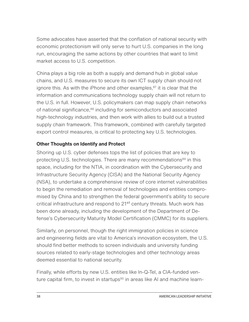Some advocates have asserted that the conflation of national security with economic protectionism will only serve to hurt U.S. companies in the long run, encouraging the same actions by other countries that want to limit market access to U.S. competition.

China plays a big role as both a supply and demand hub in global value chains, and U.S. measures to secure its own ICT supply chain should not ignore this. As with the iPhone and other examples, $87$  it is clear that the information and communications technology supply chain will not return to the U.S. in full. However, U.S. policymakers can map supply chain networks of national significance,<sup>88</sup> including for semiconductors and associated high-technology industries, and then work with allies to build out a trusted supply chain framework. This framework, combined with carefully targeted export control measures, is critical to protecting key U.S. technologies.

#### **Other Thoughts on Identify and Protect**

Shoring up U.S. cyber defenses tops the list of policies that are key to protecting U.S. technologies. There are many recommendations<sup>89</sup> in this space, including for the NTIA, in coordination with the Cybersecurity and Infrastructure Security Agency (CISA) and the National Security Agency (NSA), to undertake a comprehensive review of core internet vulnerabilities to begin the remediation and removal of technologies and entities compromised by China and to strengthen the federal government's ability to secure critical infrastructure and respond to 21<sup>st</sup> century threats. Much work has been done already, including the development of the Department of Defense's Cybersecurity Maturity Model Certification (CMMC) for its suppliers.

Similarly, on personnel, though the right immigration policies in science and engineering fields are vital to America's innovation ecosystem, the U.S. should find better methods to screen individuals and university funding sources related to early-stage technologies and other technology areas deemed essential to national security.

Finally, while efforts by new U.S. entities like In-Q-Tel, a CIA-funded ven-ture capital firm, to invest in startups<sup>[90](#page-68-0)</sup> in areas like AI and machine learn-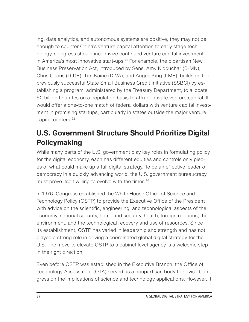ing, data analytics, and autonomous systems are positive, they may not be enough to counter China's venture capital attention to early stage technology. Congress should incentivize continued venture capital investment in America's most innovative start-ups. $91$  For example, the bipartisan New Business Preservation Act, introduced by Sens. Amy Klobuchar (D-MN), Chris Coons (D-DE), Tim Kaine (D-VA), and Angus King (I-ME), builds on the previously successful State Small Business Credit Initiative (SSBCI) by establishing a program, administered by the Treasury Department, to allocate \$2 billion to states on a population basis to attract private venture capital. It would offer a one-to-one match of federal dollars with venture capital investment in promising startups, particularly in states outside the major venture capital centers.[92](#page-68-0)

### **U.S. Government Structure Should Prioritize Digital Policymaking**

While many parts of the U.S. government play key roles in formulating policy for the digital economy, each has different equities and controls only pieces of what could make up a full digital strategy. To be an effective leader of democracy in a quickly advancing world, the U.S. government bureaucracy must prove itself willing to evolve with the times.<sup>[93](#page-68-0)</sup>

In 1976, Congress established the White House Office of Science and Technology Policy (OSTP) to provide the Executive Office of the President with advice on the scientific, engineering, and technological aspects of the economy, national security, homeland security, health, foreign relations, the environment, and the technological recovery and use of resources. Since its establishment, OSTP has varied in leadership and strength and has not played a strong role in driving a coordinated global digital strategy for the U.S. The move to elevate OSTP to a cabinet level agency is a welcome step in the right direction.

Even before OSTP was established in the Executive Branch, the Office of Technology Assessment (OTA) served as a nonpartisan body to advise Congress on the implications of science and technology applications. However, it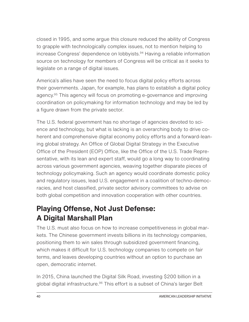closed in 1995, and some argue this closure reduced the ability of Congress to grapple with technologically complex issues, not to mention helping to increase Congress' dependence on lobbyists.<sup>94</sup> Having a reliable information source on technology for members of Congress will be critical as it seeks to legislate on a range of digital issues.

America's allies have seen the need to focus digital policy efforts across their governments. Japan, for example, has plans to establish a digital policy agency.<sup>95</sup> This agency will focus on promoting e-governance and improving coordination on policymaking for information technology and may be led by a figure drawn from the private sector.

The U.S. federal government has no shortage of agencies devoted to science and technology, but what is lacking is an overarching body to drive coherent and comprehensive digital economy policy efforts and a forward-leaning global strategy. An Office of Global Digital Strategy in the Executive Office of the President (EOP) Office, like the Office of the U.S. Trade Representative, with its lean and expert staff, would go a long way to coordinating across various government agencies, weaving together disparate pieces of technology policymaking. Such an agency would coordinate domestic policy and regulatory issues, lead U.S. engagement in a coalition of techno-democracies, and host classified, private sector advisory committees to advise on both global competition and innovation cooperation with other countries.

### **Playing Offense, Not Just Defense: A Digital Marshall Plan**

The U.S. must also focus on how to increase competitiveness in global markets. The Chinese government invests billions in its technology companies, positioning them to win sales through subsidized government financing, which makes it difficult for U.S. technology companies to compete on fair terms, and leaves developing countries without an option to purchase an open, democratic internet.

In 2015, China launched the Digital Silk Road, investing \$200 billion in a global digital infrastructure.<sup>96</sup> This effort is a subset of China's larger Belt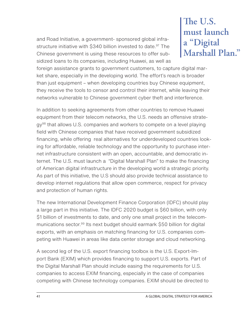and Road Initiative, a government- sponsored global infrastructure initiative with \$340 billion invested to date.<sup>97</sup> The Chinese government is using these resources to offer subsidized loans to its companies, including Huawei, as well as

# **The U.S. must launch a "Digital Marshall Plan."**

foreign assistance grants to government customers, to capture digital market share, especially in the developing world. The effort's reach is broader than just equipment – when developing countries buy Chinese equipment, they receive the tools to censor and control their internet, while leaving their networks vulnerable to Chinese government cyber theft and interference.

In addition to seeking agreements from other countries to remove Huawei equipment from their telecom networks, the U.S. needs an offensive strate $gy<sup>98</sup>$  that allows U.S. companies and workers to compete on a level playing field with Chinese companies that have received government subsidized financing, while offering real alternatives for underdeveloped countries looking for affordable, reliable technology and the opportunity to purchase internet infrastructure consistent with an open, accountable, and democratic internet. The U.S. must launch a "Digital Marshall Plan" to make the financing of American digital infrastructure in the developing world a strategic priority. As part of this initiative, the U.S should also provide technical assistance to develop internet regulations that allow open commerce, respect for privacy and protection of human rights.

The new International Development Finance Corporation (IDFC) should play a large part in this initiative. The IDFC 2020 budget is \$60 billion, with only \$1 billion of investments to date, and only one small project in the telecommunications sector.<sup>99</sup> Its next budget should earmark \$50 billion for digital exports, with an emphasis on matching financing for U.S. companies competing with Huawei in areas like data center storage and cloud networking.

A second leg of the U.S. export financing toolbox is the U.S. Export-Import Bank (EXIM) which provides financing to support U.S. exports. Part of the Digital Marshall Plan should include easing the requirements for U.S. companies to access EXIM financing, especially in the case of companies competing with Chinese technology companies. EXIM should be directed to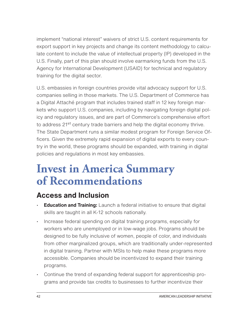implement "national interest" waivers of strict U.S. content requirements for export support in key projects and change its content methodology to calculate content to include the value of intellectual property (IP) developed in the U.S. Finally, part of this plan should involve earmarking funds from the U.S. Agency for International Development (USAID) for technical and regulatory training for the digital sector.

U.S. embassies in foreign countries provide vital advocacy support for U.S. companies selling in those markets. The U.S. Department of Commerce has a Digital Attaché program that includes trained staff in 12 key foreign markets who support U.S. companies, including by navigating foreign digital policy and regulatory issues, and are part of Commerce's comprehensive effort to address 21<sup>st</sup> century trade barriers and help the digital economy thrive. The State Department runs a similar modest program for Foreign Service Officers. Given the extremely rapid expansion of digital exports to every country in the world, these programs should be expanded, with training in digital policies and regulations in most key embassies.

# **Invest in America Summary of Recommendations**

### **Access and Inclusion**

- **Education and Training:** Launch a federal initiative to ensure that digital skills are taught in all K-12 schools nationally.
- Increase federal spending on digital training programs, especially for workers who are unemployed or in low-wage jobs. Programs should be designed to be fully inclusive of women, people of color, and individuals from other marginalized groups, which are traditionally under-represented in digital training. Partner with MSIs to help make these programs more accessible. Companies should be incentivized to expand their training programs.
- Continue the trend of expanding federal support for apprenticeship programs and provide tax credits to businesses to further incentivize their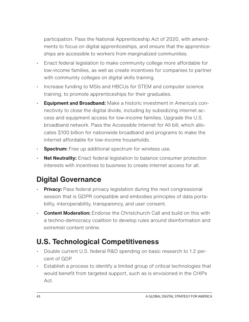participation. Pass the National Apprenticeship Act of 2020, with amendments to focus on digital apprenticeships, and ensure that the apprenticeships are accessible to workers from marginalized communities.

- Enact federal legislation to make community college more affordable for low-income families, as well as create incentives for companies to partner with community colleges on digital skills training.
- Increase funding to MSIs and HBCUs for STEM and computer science training, to promote apprenticeships for their graduates.
- **Equipment and Broadband:** Make a historic investment in America's connectivity to close the digital divide, including by subsidizing internet access and equipment access for low-income families. Upgrade the U.S. broadband network. Pass the Accessible Internet for All bill, which allocates \$100 billion for nationwide broadband and programs to make the internet affordable for low-income households.
- **Spectrum:** Free up additional spectrum for wireless use.
- **Net Neutrality:** Enact federal legislation to balance consumer protection interests with incentives to business to create internet access for all.

## **Digital Governance**

- **Privacy:** Pass federal privacy legislation during the next congressional session that is GDPR compatible and embodies principles of data portability, interoperability, transparency, and user consent.
- **Content Moderation:** Endorse the Christchurch Call and build on this with a techno-democracy coalition to develop rules around disinformation and extremist content online.

### **U.S. Technological Competitiveness**

- Double current U.S. federal R&D spending on basic research to 1.2 percent of GDP.
- Establish a process to identify a limited group of critical technologies that would benefit from targeted support, such as is envisioned in the CHIPs Act.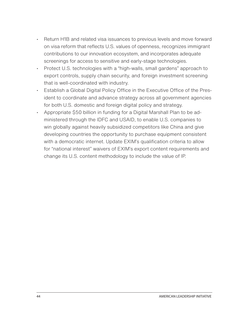- Return H1B and related visa issuances to previous levels and move forward on visa reform that reflects U.S. values of openness, recognizes immigrant contributions to our innovation ecosystem, and incorporates adequate screenings for access to sensitive and early-stage technologies.
- Protect U.S. technologies with a "high-walls, small gardens" approach to export controls, supply chain security, and foreign investment screening that is well-coordinated with industry.
- Establish a Global Digital Policy Office in the Executive Office of the President to coordinate and advance strategy across all government agencies for both U.S. domestic and foreign digital policy and strategy.
- Appropriate \$50 billion in funding for a Digital Marshall Plan to be administered through the IDFC and USAID, to enable U.S. companies to win globally against heavily subsidized competitors like China and give developing countries the opportunity to purchase equipment consistent with a democratic internet. Update EXIM's qualification criteria to allow for "national interest" waivers of EXIM's export content requirements and change its U.S. content methodology to include the value of IP.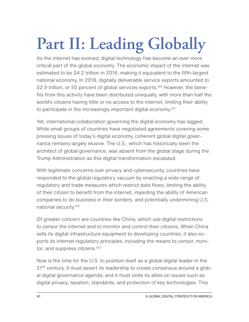# **Part II: Leading Globally**

As the internet has evolved, digital technology has become an ever more critical part of the global economy. The economic impact of the internet was estimated to be \$4.2 trillion in 2016, making it equivalent to the fifth-largest national economy. In 2018, digitally deliverable service exports amounted to \$2.9 trillion, or 50 percent of global services exports.<sup>100</sup> However, the benefits from this activity have been distributed unequally, with more than half the world's citizens having little or no access to the internet, limiting their ability to participate in the increasingly important digital economy[.101](#page-69-0)

Yet, international collaboration governing the digital economy has lagged. While small groups of countries have negotiated agreements covering some pressing issues of today's digital economy, coherent global digital governance remains largely elusive. The U.S., which has historically been the architect of global governance, was absent from the global stage during the Trump Administration as this digital transformation escalated.

With legitimate concerns over privacy and cybersecurity, countries have responded to the global regulatory vacuum by enacting a wide range of regulatory and trade measures which restrict data flows, limiting the ability of their citizen to benefit from the internet, impeding the ability of American companies to do business in their borders, and potentially undermining U.S. national security[.102](#page-69-0) 

Of greater concern are countries like China, which use digital restrictions to censor the internet and to monitor and control their citizens. When China sells its digital infrastructure equipment to developing countries, it also exports its internet regulatory principles, including the means to censor, monitor, and suppress citizens.<sup>103</sup>

Now is the time for the U.S. to position itself as a global digital leader in the 21<sup>st</sup> century. It must assert its leadership to create consensus around a global digital governance agenda; and it must unite its allies on issues such as digital privacy, taxation, standards, and protection of key technologies. This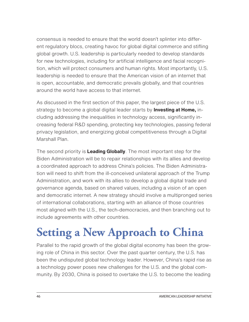consensus is needed to ensure that the world doesn't splinter into different regulatory blocs, creating havoc for global digital commerce and stifling global growth. U.S. leadership is particularly needed to develop standards for new technologies, including for artificial intelligence and facial recognition, which will protect consumers and human rights. Most importantly, U.S. leadership is needed to ensure that the American vision of an internet that is open, accountable, and democratic prevails globally, and that countries around the world have access to that internet.

As discussed in the first section of this paper, the largest piece of the U.S. strategy to become a global digital leader starts by **Investing at Home,** including addressing the inequalities in technology access, significantly increasing federal R&D spending, protecting key technologies, passing federal privacy legislation, and energizing global competitiveness through a Digital Marshall Plan.

The second priority is **Leading Globally**. The most important step for the Biden Administration will be to repair relationships with its allies and develop a coordinated approach to address China's policies. The Biden Administration will need to shift from the ill-conceived unilateral approach of the Trump Administration, and work with its allies to develop a global digital trade and governance agenda, based on shared values, including a vision of an open and democratic internet. A new strategy should involve a multipronged series of international collaborations, starting with an alliance of those countries most aligned with the U.S., the tech-democracies, and then branching out to include agreements with other countries.

# **Setting a New Approach to China**

Parallel to the rapid growth of the global digital economy has been the growing role of China in this sector. Over the past quarter century, the U.S. has been the undisputed global technology leader. However, China's rapid rise as a technology power poses new challenges for the U.S. and the global community. By 2030, China is poised to overtake the U.S. to become the leading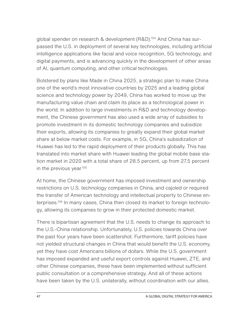global spender on research & development (R&D)[.104](#page-69-0) And China has surpassed the U.S. in deployment of several key technologies, including artificial intelligence applications like facial and voice recognition, 5G technology, and digital payments, and is advancing quickly in the development of other areas of AI, quantum computing, and other critical technologies.

Bolstered by plans like Made in China 2025, a strategic plan to make China one of the world's most innovative countries by 2025 and a leading global science and technology power by 2049, China has worked to move up the manufacturing value chain and claim its place as a technological power in the world. In addition to large investments in R&D and technology development, the Chinese government has also used a wide array of subsidies to promote investment in its domestic technology companies and subsidize their exports, allowing its companies to greatly expand their global market share at below market costs. For example, in 5G, China's subsidization of Huawei has led to the rapid deployment of their products globally. This has translated into market share with Huawei leading the global mobile base station market in 2020 with a total share of 28.5 percent, up from 27.5 percent in the previous year[.105](#page-69-0)

At home, the Chinese government has imposed investment and ownership restrictions on U.S. technology companies in China, and cajoled or required the transfer of American technology and intellectual property to Chinese enterprises[.106](#page-69-0) In many cases, China then closed its market to foreign technology, allowing its companies to grow in their protected domestic market.

There is bipartisan agreement that the U.S. needs to change its approach to the U.S.-China relationship. Unfortunately, U.S. policies towards China over the past four years have been scattershot. Furthermore, tariff policies have not yielded structural changes in China that would benefit the U.S. economy, yet they have cost Americans billions of dollars. While the U.S. government has imposed expanded and useful export controls against Huawei, ZTE, and other Chinese companies, these have been implemented without sufficient public consultation or a comprehensive strategy. And all of these actions have been taken by the U.S. unilaterally, without coordination with our allies.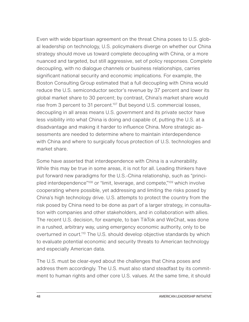Even with wide bipartisan agreement on the threat China poses to U.S. global leadership on technology, U.S. policymakers diverge on whether our China strategy should move us toward complete decoupling with China, or a more nuanced and targeted, but still aggressive, set of policy responses. Complete decoupling, with no dialogue channels or business relationships, carries significant national security and economic implications. For example, the Boston Consulting Group estimated that a full decoupling with China would reduce the U.S. semiconductor sector's revenue by 37 percent and lower its global market share to 30 percent; by contrast, China's market share would rise from 3 percent to 31 percent.<sup>107</sup> But beyond U.S. commercial losses, decoupling in all areas means U.S. government and its private sector have less visibility into what China is doing and capable of, putting the U.S. at a disadvantage and making it harder to influence China. More strategic assessments are needed to determine where to maintain interdependence with China and where to surgically focus protection of U.S. technologies and market share.

Some have asserted that interdependence with China is a vulnerability. While this may be true in some areas, it is not for all. Leading thinkers have put forward new paradigms for the U.S.-China relationship, such as "princi-pled interdependence<sup>"108</sup> or "limit, leverage, and compete,"<sup>[109](#page-69-0)</sup> which involve cooperating where possible, yet addressing and limiting the risks posed by China's high technology drive. U.S. attempts to protect the country from the risk posed by China need to be done as part of a larger strategy, in consultation with companies and other stakeholders, and in collaboration with allies. The recent U.S. decision, for example, to ban TikTok and WeChat, was done in a rushed, arbitrary way, using emergency economic authority, only to be overturned in court.<sup>110</sup> The U.S. should develop objective standards by which to evaluate potential economic and security threats to American technology and especially American data.

The U.S. must be clear-eyed about the challenges that China poses and address them accordingly. The U.S. must also stand steadfast by its commitment to human rights and other core U.S. values. At the same time, it should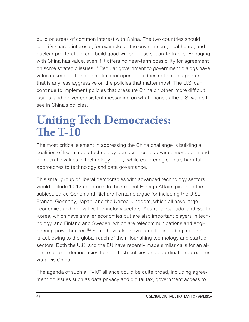build on areas of common interest with China. The two countries should identify shared interests, for example on the environment, healthcare, and nuclear proliferation, and build good will on those separate tracks. Engaging with China has value, even if it offers no near-term possibility for agreement on some strategic issues.<sup>111</sup> Regular government to government dialogs have value in keeping the diplomatic door open. This does not mean a posture that is any less aggressive on the policies that matter most. The U.S. can continue to implement policies that pressure China on other, more difficult issues, and deliver consistent messaging on what changes the U.S. wants to see in China's policies.

# **Uniting Tech Democracies: The T-10**

The most critical element in addressing the China challenge is building a coalition of like-minded technology democracies to advance more open and democratic values in technology policy, while countering China's harmful approaches to technology and data governance.

This small group of liberal democracies with advanced technology sectors would include 10-12 countries. In their recent Foreign Affairs piece on the subject, Jared Cohen and Richard Fontaine argue for including the U.S., France, Germany, Japan, and the United Kingdom, which all have large economies and innovative technology sectors, Australia, Canada, and South Korea, which have smaller economies but are also important players in technology, and Finland and Sweden, which are telecommunications and engineering powerhouses[.112](#page-69-0) Some have also advocated for including India and Israel, owing to the global reach of their flourishing technology and startup sectors. Both the U.K. and the EU have recently made similar calls for an alliance of tech-democracies to align tech policies and coordinate approaches vis-a-vis China.<sup>113</sup>

The agenda of such a "T-10" alliance could be quite broad, including agreement on issues such as data privacy and digital tax, government access to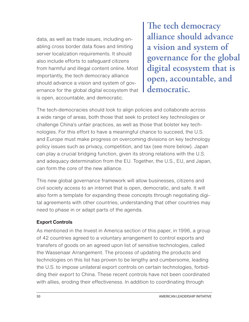data, as well as trade issues, including enabling cross border data flows and limiting server localization requirements. It should also include efforts to safeguard citizens from harmful and illegal content online. Most importantly, the tech democracy alliance should advance a vision and system of governance for the global digital ecosystem that is open, accountable, and democratic.

**The tech democracy alliance should advance a vision and system of governance for the global digital ecosystem that is open, accountable, and democratic.**

The tech-democracies should look to align policies and collaborate across a wide range of areas, both those that seek to protect key technologies or challenge China's unfair practices, as well as those that bolster key technologies. For this effort to have a meaningful chance to succeed, the U.S. and Europe must make progress on overcoming divisions on key technology policy issues such as privacy, competition, and tax (see more below). Japan can play a crucial bridging function, given its strong relations with the U.S. and adequacy determination from the EU. Together, the U.S., EU, and Japan, can form the core of the new alliance.

This new global governance framework will allow businesses, citizens and civil society access to an internet that is open, democratic, and safe. It will also form a template for expanding these concepts through negotiating digital agreements with other countries, understanding that other countries may need to phase in or adapt parts of the agenda.

#### **Export Controls**

As mentioned in the Invest in America section of this paper, in 1996, a group of 42 countries agreed to a voluntary arrangement to control exports and transfers of goods on an agreed upon list of sensitive technologies, called the Wassenaar Arrangement. The process of updating the products and technologies on this list has proven to be lengthy and cumbersome, leading the U.S. to impose unilateral export controls on certain technologies, forbidding their export to China. These recent controls have not been coordinated with allies, eroding their effectiveness. In addition to coordinating through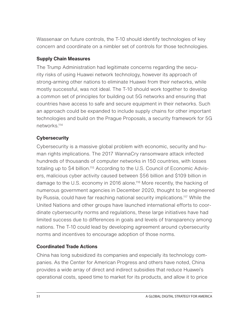Wassenaar on future controls, the T-10 should identify technologies of key concern and coordinate on a nimbler set of controls for those technologies.

#### **Supply Chain Measures**

The Trump Administration had legitimate concerns regarding the security risks of using Huawei network technology, however its approach of strong-arming other nations to eliminate Huawei from their networks, while mostly successful, was not ideal. The T-10 should work together to develop a common set of principles for building out 5G networks and ensuring that countries have access to safe and secure equipment in their networks. Such an approach could be expanded to include supply chains for other important technologies and build on the Prague Proposals, a security framework for 5G networks[.114](#page-70-0)

#### **Cybersecurity**

Cybersecurity is a massive global problem with economic, security and human rights implications. The 2017 WannaCry ransomware attack infected hundreds of thousands of computer networks in 150 countries, with losses totaling up to \$4 billion.<sup>115</sup> According to the U.S. Council of Economic Advisers, malicious cyber activity caused between \$56 billion and \$109 billion in damage to the U.S. economy in 2016 alone.<sup>116</sup> More recently, the hacking of numerous government agencies in December 2020, thought to be engineered by Russia, could have far reaching national security implications[.117](#page-70-0) While the United Nations and other groups have launched international efforts to coordinate cybersecurity norms and regulations, these large initiatives have had limited success due to differences in goals and levels of transparency among nations. The T-10 could lead by developing agreement around cybersecurity norms and incentives to encourage adoption of those norms.

#### **Coordinated Trade Actions**

China has long subsidized its companies and especially its technology companies. As the Center for American Progress and others have noted, China provides a wide array of direct and indirect subsidies that reduce Huawei's operational costs, speed time to market for its products, and allow it to price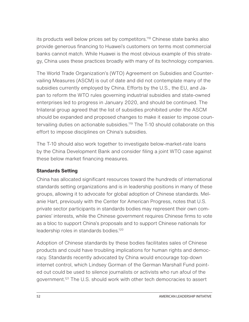its products well below prices set by competitors.<sup>118</sup> Chinese state banks also provide generous financing to Huawei's customers on terms most commercial banks cannot match. While Huawei is the most obvious example of this strategy, China uses these practices broadly with many of its technology companies.

The World Trade Organization's (WTO) Agreement on Subsidies and Countervailing Measures (ASCM) is out of date and did not contemplate many of the subsidies currently employed by China. Efforts by the U.S., the EU, and Japan to reform the WTO rules governing industrial subsidies and state-owned enterprises led to progress in January 2020, and should be continued. The trilateral group agreed that the list of subsidies prohibited under the ASCM should be expanded and proposed changes to make it easier to impose countervailing duties on actionable subsidies.<sup>119</sup> The T-10 should collaborate on this effort to impose disciplines on China's subsidies.

The T-10 should also work together to investigate below-market-rate loans by the China Development Bank and consider filing a joint WTO case against these below market financing measures.

#### **Standards Setting**

China has allocated significant resources toward the hundreds of international standards setting organizations and is in leadership positions in many of these groups, allowing it to advocate for global adoption of Chinese standards. Melanie Hart, previously with the Center for American Progress, notes that U.S. private sector participants in standards bodies may represent their own companies' interests, while the Chinese government requires Chinese firms to vote as a bloc to support China's proposals and to support Chinese nationals for leadership roles in standards bodies[.120](#page-70-0)

Adoption of Chinese standards by these bodies facilitates sales of Chinese products and could have troubling implications for human rights and democracy. Standards recently advocated by China would encourage top-down internet control, which Lindsey Gorman of the German Marshall Fund pointed out could be used to silence journalists or activists who run afoul of the government.<sup>121</sup> The U.S. should work with other tech democracies to assert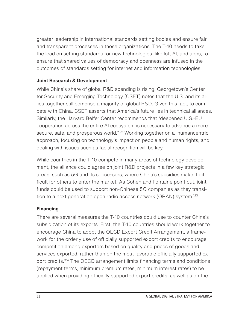greater leadership in international standards setting bodies and ensure fair and transparent processes in those organizations. The T-10 needs to take the lead on setting standards for new technologies, like IoT, AI, and apps, to ensure that shared values of democracy and openness are infused in the outcomes of standards setting for internet and information technologies.

#### **Joint Research & Development**

While China's share of global R&D spending is rising, Georgetown's Center for Security and Emerging Technology (CSET) notes that the U.S. and its allies together still comprise a majority of global R&D. Given this fact, to compete with China, CSET asserts that America's future lies in technical alliances. Similarly, the Harvard Belfer Center recommends that "deepened U.S.-EU cooperation across the entire AI ecosystem is necessary to advance a more secure, safe, and prosperous world."<sup>122</sup> Working together on a humancentric approach, focusing on technology's impact on people and human rights, and dealing with issues such as facial recognition will be key.

While countries in the T-10 compete in many areas of technology development, the alliance could agree on joint R&D projects in a few key strategic areas, such as 5G and its successors, where China's subsidies make it difficult for others to enter the market. As Cohen and Fontaine point out, joint funds could be used to support non-Chinese 5G companies as they transition to a next generation open radio access network (ORAN) system.<sup>123</sup>

#### **Financing**

There are several measures the T-10 countries could use to counter China's subsidization of its exports. First, the T-10 countries should work together to encourage China to adopt the OECD Export Credit Arrangement, a framework for the orderly use of officially supported export credits to encourage competition among exporters based on quality and prices of goods and services exported, rather than on the most favorable officially supported export credits[.124](#page-70-0) The OECD arrangement limits financing terms and conditions (repayment terms, minimum premium rates, minimum interest rates) to be applied when providing officially supported export credits, as well as on the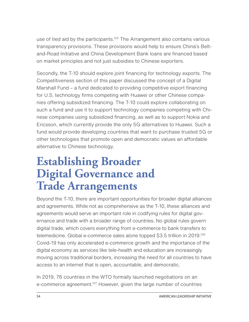use of tied aid by the participants.<sup>125</sup> The Arrangement also contains various transparency provisions. These provisions would help to ensure China's Beltand-Road Initiative and China Development Bank loans are financed based on market principles and not just subsidies to Chinese exporters.

Secondly, the T-10 should explore joint financing for technology exports. The Competitiveness section of this paper discussed the concept of a Digital Marshall Fund – a fund dedicated to providing competitive export financing for U.S. technology firms competing with Huawei or other Chinese companies offering subsidized financing. The T-10 could explore collaborating on such a fund and use it to support technology companies competing with Chinese companies using subsidized financing, as well as to support Nokia and Ericsson, which currently provide the only 5G alternatives to Huawei. Such a fund would provide developing countries that want to purchase trusted 5G or other technologies that promote open and democratic values an affordable alternative to Chinese technology.

# **Establishing Broader Digital Governance and Trade Arrangements**

Beyond the T-10, there are important opportunities for broader digital alliances and agreements. While not as comprehensive as the T-10, these alliances and agreements would serve an important role in codifying rules for digital governance and trade with a broader range of countries. No global rules govern digital trade, which covers everything from e-commerce to bank transfers to telemedicine. Global e-commerce sales alone topped \$3.5 trillion in 2019.<sup>126</sup> Covid-19 has only accelerated e-commerce growth and the importance of the digital economy as services like tele-health and education are increasingly moving across traditional borders, increasing the need for all countries to have access to an internet that is open, accountable, and democratic.

In 2019, 76 countries in the WTO formally launched negotiations on an e-commerce agreement.<sup>127</sup> However, given the large number of countries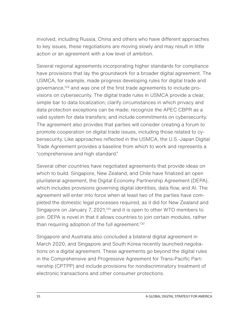involved, including Russia, China and others who have different approaches to key issues, these negotiations are moving slowly and may result in little action or an agreement with a low level of ambition.

Several regional agreements incorporating higher standards for compliance have provisions that lay the groundwork for a broader digital agreement. The USMCA, for example, made progress developing rules for digital trade and governance[,128](#page-71-0) and was one of the first trade agreements to include provisions on cybersecurity. The digital trade rules in USMCA provide a clear, simple bar to data localization; clarify circumstances in which privacy and data protection exceptions can be made; recognize the APEC CBPR as a valid system for data transfers; and include commitments on cybersecurity. The agreement also provides that parties will consider creating a forum to promote cooperation on digital trade issues, including those related to cybersecurity. Like approaches reflected in the USMCA, the U.S.-Japan Digital Trade Agreement provides a baseline from which to work and represents a "comprehensive and high standard."

Several other countries have negotiated agreements that provide ideas on which to build. Singapore, New Zealand, and Chile have finalized an open plurilateral agreement, the Digital Economy Partnership Agreement (DEPA), which includes provisions governing digital identities, data flow, and AI. The agreement will enter into force when at least two of the parties have completed the domestic legal processes required, as it did for New Zealand and Singapore on January 7, 2021, $129$  and it is open to other WTO members to join. DEPA is novel in that it allows countries to join certain modules, rather than requiring adoption of the full agreement.<sup>130</sup>

Singapore and Australia also concluded a bilateral digital agreement in March 2020, and Singapore and South Korea recently launched negotiations on a digital agreement. These agreements go beyond the digital rules in the Comprehensive and Progressive Agreement for Trans-Pacific Partnership (CPTPP) and include provisions for nondiscriminatory treatment of electronic transactions and other consumer protections.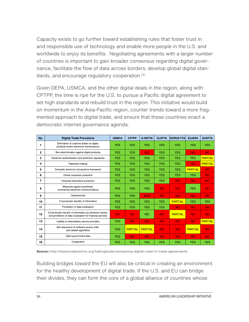Capacity exists to go further toward establishing rules that foster trust in and responsible use of technology and enable more people in the U.S. and worldwide to enjoy its benefits. Negotiating agreements with a larger number of countries is important to gain broader consensus regarding digital governance, facilitate the flow of data across borders, develop global digital standards, and encourage regulatory cooperation.<sup>131</sup>

Given DEPA, USMCA, and the other digital deals in the region, along with CPTPP, the time is ripe for the U.S. to pursue a Pacific digital agreement to set high standards and rebuild trust in the region. This initiative would build on momentum in the Asia-Pacific region, counter trends toward a more fragmented approach to digital trade, and ensure that these countries enact a democratic internet governance agenda.

| No.          | <b>Digital Trade Provisions</b>                                                                                         | <b>USMCA</b> | <b>CPTPP</b>   | A HKFTA        | <b>SLSFTA</b> | <b>KORUS FTA</b> | <b>EUJEPA</b>  | <b>EUSFTA</b>  |
|--------------|-------------------------------------------------------------------------------------------------------------------------|--------------|----------------|----------------|---------------|------------------|----------------|----------------|
| 1            | Elimination of customs duties on digital<br>products and/or electronic transmissions                                    | <b>YES</b>   | <b>YES</b>     | <b>YES</b>     | <b>YES</b>    | <b>YES</b>       | <b>YES</b>     | <b>YES</b>     |
| $\mathbf{2}$ | Non-discrimination against digital products                                                                             | <b>YES</b>   | <b>YES</b>     | <b>NO</b>      | <b>YES</b>    | <b>YES</b>       | <b>NO</b>      | <b>NO</b>      |
| 3            | Electronic authentication and electronic signatures                                                                     | <b>YES</b>   | <b>YES</b>     | <b>YES</b>     | <b>YES</b>    | <b>YES</b>       | <b>YES</b>     | <b>PARTIAL</b> |
| 4            | Paperless trading                                                                                                       | <b>YES</b>   | <b>YES</b>     | <b>YES</b>     | <b>YES</b>    | <b>YES</b>       | <b>NO</b>      | <b>PARTIAL</b> |
| 5            | Domestic electronic transactions framework                                                                              | <b>YES</b>   | <b>YES</b>     | <b>YES</b>     | <b>YES</b>    | <b>YES</b>       | <b>PARTIAL</b> | <b>NO</b>      |
| 6            | Online consumer protection                                                                                              | <b>YES</b>   | <b>YES</b>     | <b>YES</b>     | <b>YES</b>    | <b>YES</b>       | <b>YES</b>     | <b>NO</b>      |
| 7            | Personal information protection                                                                                         | <b>YES</b>   | <b>YES</b>     | <b>YES</b>     | <b>YES</b>    | <b>NO</b>        | <b>NO</b>      | <b>NO</b>      |
| 8            | Measures agains unsolicited<br>commercial electronic communications                                                     | <b>YES</b>   | <b>YES</b>     | <b>YES</b>     | <b>NO</b>     | <b>NO</b>        | <b>YES</b>     | <b>NO</b>      |
| 9            | Cybersecurity                                                                                                           | <b>YES</b>   | <b>YES</b>     | <b>NOA</b>     | <b>NO</b>     | <b>NO</b>        | <b>NO</b>      | <b>NO</b>      |
| 10           | Cross-border transfer of information                                                                                    | <b>YES</b>   | <b>YES</b>     | <b>YES</b>     | <b>YES</b>    | <b>PARTIAL</b>   | <b>YES</b>     | <b>YES</b>     |
| 11           | Prohibition of data localisation                                                                                        | <b>YES</b>   | <b>YES</b>     | <b>YES</b>     | <b>YES</b>    | <b>NO</b>        | <b>NO</b>      | <b>NO</b>      |
| 12           | Cross-border transfer of information by electronic means<br>and prohibition of data localisation for financial services | <b>NO</b>    | <b>NO</b>      | <b>NO</b>      | <b>NO</b>     | <b>PARTIAL</b>   | <b>NO</b>      | <b>NO</b>      |
| 13           | Liability of intermediary service providers                                                                             | <b>YES</b>   | <b>NO</b>      | <b>NO</b>      | <b>NO</b>     | <b>NO</b>        | <b>NO</b>      | <b>PARTIAL</b> |
| 14           | Non-disclosure of software source code<br>and related algorithms                                                        | <b>YES</b>   | <b>PARTIAL</b> | <b>PARTIAL</b> | <b>NO</b>     | <b>NO</b>        | <b>PARTIAL</b> | <b>NO</b>      |
| 15           | Open government data                                                                                                    | <b>YES</b>   | <b>NO</b>      | <b>NO</b>      | <b>NO</b>     | <b>NO</b>        | <b>NO</b>      | <b>NO</b>      |
| 16           | Cooperation                                                                                                             | <b>YES</b>   | <b>YES</b>     | <b>YES</b>     | <b>YES</b>    | <b>YES</b>       | <b>YES</b>     | <b>YES</b>     |

**Source:** http://asiantradecentre.org/talkingtrade/comparing-digital-rules-in-trade-agreements

Building bridges toward the EU will also be critical in creating an environment for the healthy development of digital trade. If the U.S. and EU can bridge their divides, they can form the core of a global alliance of countries whose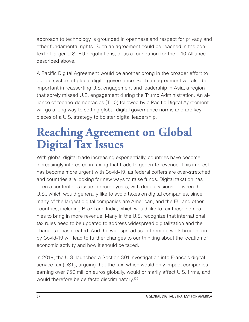approach to technology is grounded in openness and respect for privacy and other fundamental rights. Such an agreement could be reached in the context of larger U.S.-EU negotiations, or as a foundation for the T-10 Alliance described above.

A Pacific Digital Agreement would be another prong in the broader effort to build a system of global digital governance. Such an agreement will also be important in reasserting U.S. engagement and leadership in Asia, a region that sorely missed U.S. engagement during the Trump Administration. An alliance of techno-democracies (T-10) followed by a Pacific Digital Agreement will go a long way to setting global digital governance norms and are key pieces of a U.S. strategy to bolster digital leadership.

# **Reaching Agreement on Global Digital Tax Issues**

With global digital trade increasing exponentially, countries have become increasingly interested in taxing that trade to generate revenue. This interest has become more urgent with Covid-19, as federal coffers are over-stretched and countries are looking for new ways to raise funds. Digital taxation has been a contentious issue in recent years, with deep divisions between the U.S., which would generally like to avoid taxes on digital companies, since many of the largest digital companies are American, and the EU and other countries, including Brazil and India, which would like to tax those companies to bring in more revenue. Many in the U.S. recognize that international tax rules need to be updated to address widespread digitalization and the changes it has created. And the widespread use of remote work brought on by Covid-19 will lead to further changes to our thinking about the location of economic activity and how it should be taxed.

In 2019, the U.S. launched a Section 301 investigation into France's digital service tax (DST), arguing that the tax, which would only impact companies earning over 750 million euros globally, would primarily affect U.S. firms, and would therefore be de facto discriminatory.<sup>132</sup>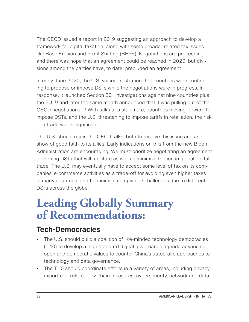The OECD issued a report in 2019 suggesting an approach to develop a framework for digital taxation, along with some broader related tax issues like Base Erosion and Profit Shifting (BEPS). Negotiations are proceeding and there was hope that an agreement could be reached in 2020, but divisions among the parties have, to date, precluded an agreement.

In early June 2020, the U.S. voiced frustration that countries were continuing to propose or impose DSTs while the negotiations were in progress. In response, it launched Section 301 investigations against nine countries plus the EU,<sup>133</sup> and later the same month announced that it was pulling out of the OECD negotiations[.134](#page-71-0) With talks at a stalemate, countries moving forward to impose DSTs, and the U.S. threatening to impose tariffs in retaliation, the risk of a trade war is significant.

The U.S. should rejoin the OECD talks, both to resolve this issue and as a show of good faith to its allies. Early indications on this from the new Biden Administration are encouraging. We must prioritize negotiating an agreement governing DSTs that will facilitate as well as minimize friction in global digital trade. The U.S. may eventually have to accept some level of tax on its companies' e-commerce activities as a trade-off for avoiding even higher taxes in many countries, and to minimize compliance challenges due to different DSTs across the globe.

# **Leading Globally Summary of Recommendations:**

### **Tech-Democracies**

- The U.S. should build a coalition of like-minded technology democracies (T-10) to develop a high standard digital governance agenda advancing open and democratic values to counter China's autocratic approaches to technology and data governance.
- The T-10 should coordinate efforts in a variety of areas, including privacy, export controls, supply chain measures, cybersecurity, network and data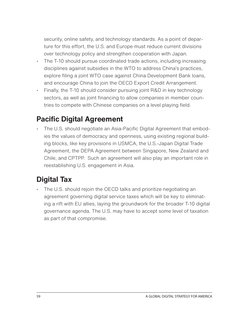security, online safety, and technology standards. As a point of departure for this effort, the U.S. and Europe must reduce current divisions over technology policy and strengthen cooperation with Japan.

- The T-10 should pursue coordinated trade actions, including increasing disciplines against subsidies in the WTO to address China's practices, explore filing a joint WTO case against China Development Bank loans, and encourage China to join the OECD Export Credit Arrangement.
- Finally, the T-10 should consider pursuing joint R&D in key technology sectors, as well as joint financing to allow companies in member countries to compete with Chinese companies on a level playing field.

### **Pacific Digital Agreement**

• The U.S. should negotiate an Asia-Pacific Digital Agreement that embodies the values of democracy and openness, using existing regional building blocks, like key provisions in USMCA, the U.S.-Japan Digital Trade Agreement, the DEPA Agreement between Singapore, New Zealand and Chile, and CPTPP. Such an agreement will also play an important role in reestablishing U.S. engagement in Asia.

# **Digital Tax**

• The U.S. should rejoin the OECD talks and prioritize negotiating an agreement governing digital service taxes which will be key to eliminating a rift with EU allies, laying the groundwork for the broader T-10 digital governance agenda. The U.S. may have to accept some level of taxation as part of that compromise.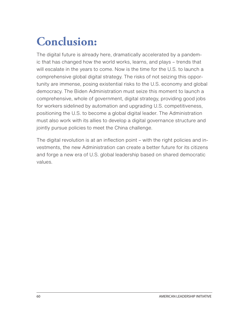# **Conclusion:**

The digital future is already here, dramatically accelerated by a pandemic that has changed how the world works, learns, and plays – trends that will escalate in the years to come. Now is the time for the U.S. to launch a comprehensive global digital strategy. The risks of not seizing this opportunity are immense, posing existential risks to the U.S. economy and global democracy. The Biden Administration must seize this moment to launch a comprehensive, whole of government, digital strategy, providing good jobs for workers sidelined by automation and upgrading U.S. competitiveness, positioning the U.S. to become a global digital leader. The Administration must also work with its allies to develop a digital governance structure and jointly pursue policies to meet the China challenge.

The digital revolution is at an inflection point – with the right policies and investments, the new Administration can create a better future for its citizens and forge a new era of U.S. global leadership based on shared democratic values.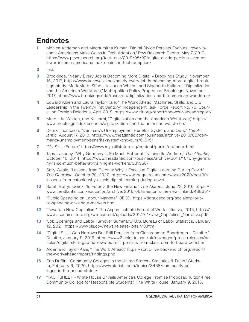### **Endnotes**

- **[1](#page-9-0)** Monica Anderson and Madhumitha Kumar, "Digital Divide Persists Even as Lower-Income Americans Make Gains in Tech Adoption," Pew Research Center, May 7, 2019, https://www.pewresearch.org/fact-tank/2019/05/07/digital-divide-persists-even-aslower-income-americans-make-gains-in-tech-adoption/
- **[2](#page-9-0)** Ibid.
- **[3](#page-10-0)** Brookings, "Nearly Every Job is Becoming More Digital Brookings Study," November 15, 2017, https://www.kurzweilai.net/nearly-every-job-is-becoming-more-digital-brookings-study; Mark Muro, Sifan Liu, Jacob Whiton, and Siddharth Kulkarni, "Digitalization and the American Workforce," Metropolitan Policy Program at Brookings, November 2017, https://www.brookings.edu/research/digitalization-and-the-american-workforce/
- **[4](#page-10-0)** Edward Alden and Laura Taylor-Kale, "The Work Ahead: Machines, Skills, and U.S. Leadership in the Twenty-First Century," Independent Task Force Report No. 76, Council on Foreign Relations, April 2018, https://www.cfr.org/report/the-work-ahead/report/
- **[5](#page-10-0)** Muro, Liu, Whiton, and Kulkarni, "Digitalization and the American Workforce," https:// www.brookings.edu/research/digitalization-and-the-american-workforce/
- **[6](#page-11-0)** Derek Thompson, "Denmark's Unemployment Benefits System, and Ours," *The Atlantic,* August 17, 2010, https://www.theatlantic.com/business/archive/2010/08/denmarks-unemployment-benefits-system-and-ours/61615/
- **[7](#page-11-0)** "My Skills Future," https://www.myskillsfuture.sg/content/portal/en/index.html
- **[8](#page-11-0)** Tamar Jacoby, "Why Germany is So Much Better at Training Its Workers," *The Atlantic,* October 16, 2014, https://www.theatlantic.com/business/archive/2014/10/why-germany-is-so-much-better-at-training-its-workers/381550/
- **[9](#page-11-0)** Sally Weale, "Lessons from Estonia: Why It Excels at Digital Learning During Covid," *The Guardian,* October 30, 2020, https://www.theguardian.com/world/2020/oct/30/ lessons-from-estonia-why-excels-digital-learning-during-covid
- **[10](#page-11-0)** Sarah Butrymowicz, "Is Estonia the New Finland," *The Atlantic,* June 23, 2016, https:// www.theatlantic.com/education/archive/2016/06/is-estonia-the-new-finland/488351/
- **[11](#page-11-0)** "Public Spending on Labour Markets," OECD, https://data.oecd.org/socialexp/public-spending-on-labour-markets.htm
- **[12](#page-11-0)** "Toward a New Capitalism," The Aspen Institute Future of Work Initiative, 2016, https:// www.aspeninstitute.org/wp-content/uploads/2017/01/New\_Capitalism\_Narrative.pdf
- **13** "Job Openings and Labor Turnover Summary," U.S. Bureau of Labor Statistics, January 12, 2021, https://www.bls.gov/news.release/jolts.nr0.htm
- **14** "Digital Skills Gap Narrows But Still Persists from Classroom to Boardroom Deloitte," Deloitte, January 9, 2019, https://www2.deloitte.com/uk/en/pages/press-releases/articles/digital-skills-gap-narrows-but-still-persists-from-classroom-to-boardroom.html
- **15** Alden and Taylor-Kale, "The Work Ahead," https://static-live-backend.cfr.org/report/ the-work-ahead/report/findings.php
- **16** Erin Duffin, "Community Colleges in the United States Statistics & Facts," Statista, February 6, 2020, https://www.statista.com/topics/3468/community-colleges-in-the-united-states/
- **17** "FACT SHEET White House Unveils America's College Promise Proposal: Tuition-Free Community College for Responsible Students," The White House, January 9, 2015,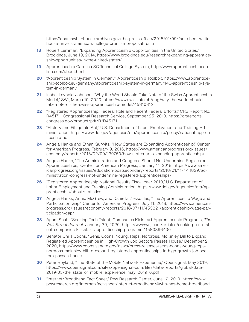https://obamawhitehouse.archives.gov/the-press-office/2015/01/09/fact-sheet-whitehouse-unveils-america-s-college-promise-proposal-tuitio

- **18** Robert Lerhman, "Expanding Apprenticeship Opportunities in the United States," Brookings, June 19, 2014, https://www.brookings.edu/research/expanding-apprenticeship-opportunities-in-the-united-states/
- **19** Apprenticeship Carolina SC Technical College System, http://www.apprenticeshipcarolina.com/about.html
- **20** "Apprenticeship System in Germany," Apprenticeship Toolbox, https://www.apprenticeship-toolbox.eu/germany/apprenticeship-system-in-germany/143-apprenticeship-system-in-germany
- **21** Isobel Leybold-Johnson, "Why the World Should Take Note of the Swiss Apprenticeship Model," SWI, March 10, 2020, https://www.swissinfo.ch/eng/why-the-world-shouldtake-note-of-the-swiss-apprenticeship-model/45810312
- **22** "Registered Apprenticeship: Federal Role and Recent Federal Efforts," CRS Report No. R45171, Congressional Research Service, September 25, 2019, https://crsreports. congress.gov/product/pdf/R/R45171
- **23** "History and Fitzgerald Act," U.S. Department of Labor Employment and Training Administration, https://www.dol.gov/agencies/eta/apprenticeship/policy/national-apprenticeship-act
- **24** Angela Hanks and Ethan Gurwitz, "How States are Expanding Apprenticeship," Center for American Progress, February 9, 2016, https://www.americanprogress.org/issues/ economy/reports/2016/02/09/130750/how-states-are-expanding-apprenticeship/
- **25** Angela Hanks, "The Administration and Congress Should Not Undermine Registered Apprenticeships," Center for American Progress, January 11, 2018, https://www.americanprogress.org/issues/education-postsecondary/reports/2018/01/11/444829/administration-congress-not-undermine-registered-apprenticeships/
- **26** "Registered Apprenticeship National Results Fiscal Year 2019," U.S. Department of Labor Employment and Training Administration, https://www.dol.gov/agencies/eta/apprenticeship/about/statistics
- **27** Angela Hanks, Annie McGrew, and Daniella Zessoules, "The Apprenticeship Wage and Participation Gap," Center for American Progress, July 11, 2018, https://www.americanprogress.org/issues/economy/reports/2018/07/11/453321/apprenticeship-wage-participation-gap/
- **28** Agam Shah, "Seeking Tech Talent, Companies Kickstart Apprenticeship Programs, *The Wall Street Journal,* January 30, 2020, https://www.wsj.com/articles/seeking-tech-talent-companies-kickstart-apprenticeship-programs-11580396400
- **29** Senator Chris Coons, "Sens. Coons, Young, Reps. Norcross, McKinley Bill to Expand Registered Apprenticeships in High-Growth Job Sectors Passes House," December 2, 2020, https://www.coons.senate.gov/news/press-releases/sens-coons-young-repsnorcross-mckinley-bill-to-expand-registered-apprenticeships-in-high-growth-job-sectors-passes-house
- **30** Peter Boyland, "The State of the Mobile Network Experience," Opensignal, May 2019, https://www.opensignal.com/sites/opensignal-com/files/data/reports/global/data-2019-05/the\_state\_of\_mobile\_experience\_may\_2019\_0.pdf
- **31** "Internet/Broadband Fact Sheet," Pew Research Center, June 12, 2019, https://www. pewresearch.org/internet/fact-sheet/internet-broadband/#who-has-home-broadband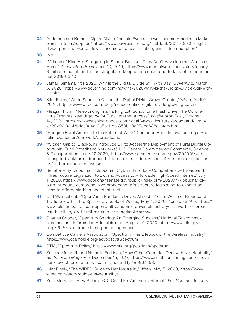- **32** Anderson and Kumar, "Digital Divide Persists Even as Lower-Income Americans Make Gains in Tech Adoption," https://www.pewresearch.org/fact-tank/2019/05/07/digitaldivide-persists-even-as-lower-income-americans-make-gains-in-tech-adoption/
- **33** Ibid.
- **34** "Millions of Kids Are Struggling in School Because They Don't Have Internet Access at Home," *Associated Press,* June 10, 2019, https://www.marketwatch.com/story/nearly-3-million-students-in-the-us-struggle-to-keep-up-in-school-due-to-lack-of-home-internet-2019-06-10
- **35** Jamari Simama, "It's 2020. Why Is the Digital Divide Still With Us?" *Governing,* March 5, 2020, https://www.governing.com/now/Its-2020-Why-Is-the-Digital-Divide-Still-with-Us.html
- **36** Klint Finley, "When School Is Online, the Digital Divide Grows Greater," *Wired,* April 9, 2020, https://www.wired.com/story/school-online-digital-divide-grows-greater/
- **37** Meagan Flynn, "Teleworking in a Parking Lot. School on a Flash Drive. The Coronavirus Prompts New Urgency for Rural Internet Access." *Washington Post,* October 14, 2020, https://www.washingtonpost.com/local/va-politics/rural-broadband-virginia/2020/10/14/bdcc9a4c-0a5b-11eb-859b-f9c27abe638d\_story.html
- **38** "Bridging Rural America to the Future of Work," Center on Rural Innovation, https://ruralinnovation.us/our-work/#broadband
- **39** "Wicker, Capito, Blackburn Introduce Bill to Accelerate Deployment of Rural Digital Opportunity Fund Broadband Networks," U.S. Senate Committee on Commerce, Science, & Transportation, June 22,2020, https://www.commerce.senate.gov/2020/6/wicker-capito-blackburn-introduce-bill-to-accelerate-deployment-of-rural-digital-opportunity-fund-broadband-networks
- **40** Senator Amy Klobuchar, "Klobuchar, Clyburn Introduce Comprehensive Broadband Infrastructure Legislation to Expand Access to Affordable High-Speed Internet," July 1, 2020, https://www.klobuchar.senate.gov/public/index.cfm/2020/7/klobuchar-clyburn-introduce-comprehensive-broadband-infrastructure-legislation-to-expand-access-to-affordable-high-speed-internet
- **41** Carl Weinschenk, "OpenVault: Pandemic Drives Almost a Year's Worth of Broadband Traffic Growth in the Span of a Couple of Weeks," May 4, 2020, *Telecompetitor,* https:// www.telecompetitor.com/openvault-pandemic-drives-almost-a-years-worth-of-broadband-traffic-growth-in-the-span-of-a-couple-of-weeks/
- **42** Charles Cooper, "Spectrum Sharing: An Emerging Success," National Telecommunications and Information Administration, August 19, 2020, https://www.ntia.gov/ blog/2020/spectrum-sharing-emerging-success
- **43** Competitive Carriers Association, "Spectrum: The Lifebook of the Wireless Industry," https://www.ccamobile.org/advocacy#Spectrum
- **44** CTIA, "Spectrum Policy," https://www.ctia.org/positions/spectrum
- **45** Sascha Meinrath and Nathalia Foditsch, "How Other Countries Deal with Net Neutrality," *Smithsonian Magazine,* December 15, 2017, https://www.smithsonianmag.com/innovation/how-other-countries-deal-net-neutrality-180967558/
- **46** Klint Finely, "The WIRED Guide to Net Neutrality," *Wired,* May 5, 2020, https://www. wired.com/story/guide-net-neutrality/
- **47** Sara Morrison, "How Biden's FCC Could Fix America's Internet," *Vox Recode,* January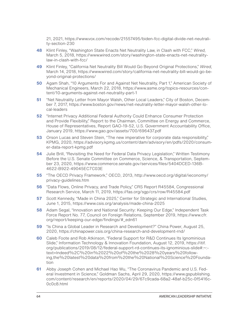21, 2021, https://www.vox.com/recode/21557495/biden-fcc-digital-divide-net-neutrality-section-230

- **48** Klint Finley, "Washington State Enacts Net Neutrality Law, in Clash with FCC," *Wired,* March 5, 2018, https://www.wired.com/story/washington-state-enacts-net-neutralitylaw-in-clash-with-fcc/
- **49** Klint Finley, "California Net Neutrality Bill Would Go Beyond Original Protections," *Wired,* March 14, 2018, https://www.wired.com/story/california-net-neutrality-bill-would-go-beyond-original-protections/
- **50** Agam Shah, "10 Arguments For and Against Net Neutrality, Part 1," American Society of Mechanical Engineers, March 22, 2018, https://www.asme.org/topics-resources/content/10-arguments-against-net-neutrality-part-1
- **51** "Net Neutrality Letter from Mayor Walsh, Other Local Leaders," City of Boston, December 7, 2017, https://www.boston.gov/news/net-neutrality-letter-mayor-walsh-other-local-leaders
- **52** "Internet Privacy Additional Federal Authority Could Enhance Consumer Protection and Provide Flexibility," Report to the Chairman, Committee on Energy and Commerce, House of Representatives, Report GAO-19-52, U.S. Government Accountability Office, January 2019, https://www.gao.gov/assets/700/696437.pdf
- **53** Orson Lucas and Steven Stein, "The new imperative for corporate data responsibility," KPMG, 2020, https://advisory.kpmg.us/content/dam/advisory/en/pdfs/2020/consumer-data-report-kpmg.pdf
- **54** Julie Brill, "Revisiting the Need for Federal Data Privacy Legislation," Written Testimony Before the U.S. Senate Committee on Commerce, Science, & Transportation, September 23, 2020, https://www.commerce.senate.gov/services/files/5404DCED-136B-4622-B922-49045EC7C03E
- **55** "The OECD Privacy Framework," OECD, 2013, http://www.oecd.org/digital/ieconomy/ privacy-guidelines.htm
- **56** "Data Flows, Online Privacy, and Trade Policy," CRS Report R45584, Congressional Research Service, March 11, 2019, https://fas.org/sgp/crs/row/R45584.pdf
- **57** Scott Kennedy, "Made in China 2025," Center for Strategic and International Studies, June 1, 2015, https://www.csis.org/analysis/made-china-2025
- **58** Adam Segal, "Innovation and National Security: Keeping Our Edge," Independent Task Force Report No. 77, Council on Foreign Relations, September 2019, https://www.cfr. org/report/keeping-our-edge/findings/#\_edn61
- **59** "Is China a Global Leader in Research and Development?" China Power, August 25, 2020, https://chinapower.csis.org/china-research-and-development-rnd/
- **60** Caleb Foote and Rob Atkinson, "Federal Support for R&D Continues Its Ignominious Slide," Information Technology & Innovation Foundation, August 12, 2019, https://itif. org/publications/2019/08/12/federal-support-rd-continues-its-ignominious-slide#:~: text=Indeed%2C%20in%2022%20of%20the%2028%20years%20following,the%20latest%20data%20from%20the%20National%20Science%20Foundation
- **61** Abby Joseph Cohen and Michael Hao Wu, "The Coronavirus Pandemic and U.S. Federal Investment in Science," Goldman Sachs, April 29, 2020, https://www.gspublishing. com/content/research/en/reports/2020/04/29/67c9cada-68a2-48af-b25c-0f5416c-0c0c8.html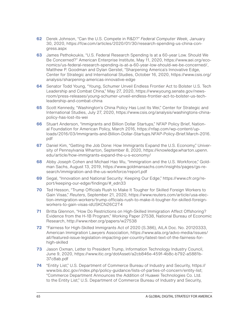- **62** Derek Johnson, "Can the U.S. Compete in R&D?" *Federal Computer Week,* January 30, 2020, https://fcw.com/articles/2020/01/30/research-spending-us-china-congress.aspx
- **63** James Pethokoukis, "U.S. Federal Research Spending Is at a 60-year Low. Should We Be Concerned?" American Enterprise Institute, May 11, 2020, https://www.aei.org/economics/us-federal-research-spending-is-at-a-60-year-low-should-we-be-concerned/, Matthew P. Goodman and Dylan Gerstel, "Sharpening America's Innovative Edge, Center for Strategic and International Studies, October 16, 2020, https://www.csis.org/ analysis/sharpening-americas-innovative-edge
- **64** Senator Todd Young, "Young, Schumer Unveil Endless Frontier Act to Bolster U.S. Tech Leadership and Combat China," May 27, 2020, https://www.young.senate.gov/newsroom/press-releases/young-schumer-unveil-endless-frontier-act-to-bolster-us-techleadership-and-combat-china
- **65** Scott Kennedy, "Washington's China Policy Has Lost Its Wei," Center for Strategic and International Studies, July 27, 2020, https://www.csis.org/analysis/washingtons-chinapolicy-has-lost-its-wei
- **66** Stuart Anderson, "Immigrants and Billion Dollar Startups," NFAP Policy Brief, National Foundation for American Policy, March 2016, https://nfap.com/wp-content/uploads/2016/03/Immigrants-and-Billion-Dollar-Startups.NFAP-Policy-Brief.March-2016. pdf
- **67** Daniel Kim, "Getting the Job Done: How Immigrants Expand the U.S. Economy," University of Pennsylvania Wharton, September 8, 2020, https://knowledge.wharton.upenn. edu/article/how-immigrants-expand-the-u-s-economy/
- **68** Abby Joseph Cohen and Michael Hao Wu, "Immigration and the U.S. Workforce," Goldman Sachs, August 13, 2019, https://www.goldmansachs.com/insights/pages/gs-research/immigration-and-the-us-workforce/report.pdf
- **69** Segal, "Innovation and National Security: Keeping Our Edge," https://www.cfr.org/report/keeping-our-edge/findings/#\_edn33
- **70** Ted Hesson, "Trump Officials Rush to Make It Tougher for Skilled Foreign Workers to Gain Visas," *Reuters,* September 21, 2020, https://www.reuters.com/article/usa-election-immigration-workers/trump-officials-rush-to-make-it-tougher-for-skilled-foreignworkers-to-gain-visas-idUSKCN26C2T4
- **71** Britta Glennon, "How Do Restrictions on High-Skilled Immigration Affect Offshoring? Evidence from the H-1B Program," Working Paper 27538, National Bureau of Economic Research, http://www.nber.org/papers/w27538
- **72** "Fairness for High-Skilled Immigrants Act of 2020 (S.386), AILA Doc. No. 20120333, American Immigration Lawyers Association, https://www.aila.org/advo-media/issues/ all/featured-issue-legislation-impacting-per-country/latest-text-of-the-fairness-forhigh-skilled
- **73** Jason Oxman, Letter to President Trump, Information Technology Industry Council, June 9, 2020, https://www.itic.org/dotAsset/a2cb846e-459f-4b8c-b792-a5881b-37c8ab.pdf
- **74** "Entity List," U.S. Department of Commerce Bureau of Industry and Security, https:// www.bis.doc.gov/index.php/policy-guidance/lists-of-parties-of-concern/entity-list; "Commerce Department Announces the Addition of Huawei Technologies Co. Ltd. to the Entity List," U.S. Department of Commerce Bureau of Industry and Security,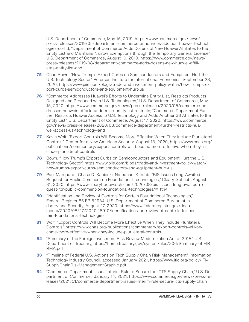<span id="page-67-0"></span>U.S. Department of Commerce, May 15, 2019, https://www.commerce.gov/news/ press-releases/2019/05/department-commerce-announces-addition-huawei-technologies-co-ltd; "Department of Commerce Adds Dozens of New Huawei Affiliates to the Entity List and Maintains Narrow Exemptions through the Temporary General License," U.S. Department of Commerce, August 19, 2019, https://www.commerce.gov/news/ press-releases/2019/08/department-commerce-adds-dozens-new-huawei-affiliates-entity-list-and

- **75** Chad Bown, "How Trump's Export Curbs on Semiconductors and Equipment Hurt the U.S. Technology Sector," Peterson Institute for International Economics, September 28, 2020, https://www.piie.com/blogs/trade-and-investment-policy-watch/how-trumps-export-curbs-semiconductors-and-equipment-hurt-us
- **76** "Commerce Addresses Huawei's Efforts to Undermine Entity List, Restricts Products Designed and Produced with U.S. Technologies," U.S. Department of Commerce, May 15, 2020, https://www.commerce.gov/news/press-releases/2020/05/commerce-addresses-huaweis-efforts-undermine-entity-list-restricts; "Commerce Department Further Restricts Huawei Access to U.S. Technology and Adds Another 38 Affiliates to the Entity List," U.S. Department of Commerce, August 17, 2020, https://www.commerce. gov/news/press-releases/2020/08/commerce-department-further-restricts-huawei-access-us-technology-and
- **77** Kevin Wolf, "Export Controls Will Become More Effective When They Include Plurilateral Controls," Center for a New American Security, August 13, 2020, https://www.cnas.org/ publications/commentary/export-controls-will-become-more-effective-when-they-include-plurilateral-controls
- **78** Bown, "How Trump's Export Curbs on Semiconductors and Equipment Hurt the U.S. Technology Sector," https://www.piie.com/blogs/trade-and-investment-policy-watch/ how-trumps-export-curbs-semiconductors-and-equipment-hurt-us
- **79** Paul Marquardt, Chase D. Kaniecki, Nathanael Kurcab, "BIS Issues Long-Awaited Request for Public Comment on Foundational Technologies," Cleary Gottlieb, August 31, 2020, https://www.clearytradewatch.com/2020/08/bis-issues-long-awaited-request-for-public-comment-on-foundational-technologies/#\_ftn4
- **80** "Identification and Review of Controls for Certain Foundational Technologies," Federal Register 85 FR 52934, U.S. Department of Commerce Bureau of Industry and Security, August 27, 2020, https://www.federalregister.gov/documents/2020/08/27/2020-18910/identification-and-review-of-controls-for-certain-foundational-technologies
- **81** Wolf, "Export Controls Will Become More Effective When They Include Plurilateral Controls," https://www.cnas.org/publications/commentary/export-controls-will-become-more-effective-when-they-include-plurilateral-controls
- **82** "Summary of the Foreign Investment Risk Review Modernization Act of 2018," U.S. Department of Treasury, https://home.treasury.gov/system/files/206/Summary-of-FIR-RMA.pdf
- **[83](#page-37-0)** "Timeline of Federal U.S. Actions on Tech Supply Chain Risk Management," Information Technology Industry Council, accessed January 2021, https://www.itic.org/policy/ITI-SupplyChainRiskManagementGraphic.pdf
- **84** "Commerce Department Issues Interim Rule to Secure the ICTS Supply Chain," U.S. Department of Commerce, January 14, 2021, https://www.commerce.gov/news/press-releases/2021/01/commerce-department-issues-interim-rule-secure-icts-supply-chain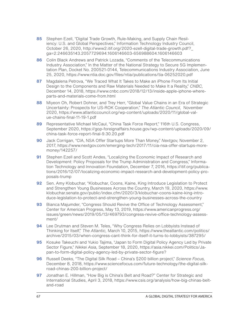- <span id="page-68-0"></span>**85** Stephen Ezell, "Digital Trade Growth, Rule-Making, and Supply Chain Resiliency: U.S. and Global Perspectives," Information Technology Industry Council, October 26, 2020, http://www2.itif.org/2020-ezell-digital-trade-growth.pdf?\_ ga=2.246635143.2057729694.1606146603-656988604.1606146603
- **86** Colin Black Andrews and Patrick Lozada, "Comments of the Telecommunications Industry Association," In the Matter of the National Strategy to Secure 5G Implementation Plan, Docket No. 200521-0144, Telecommunications Industry Association, June 25, 2020, https://www.ntia.doc.gov/files/ntia/publications/tia-06252020.pdf
- **87** Magdalena Petrova, "We Traced What It Takes to Make an iPhone From Its Initial Design to the Components and Raw Materials Needed to Make It a Reality," *CNBC,*  December 14, 2018, https://www.cnbc.com/2018/12/13/inside-apple-iphone-whereparts-and-materials-come-from.html
- **88** Miyeon Oh, Robert Dohner, and Trey Herr, "Global Value Chains in an Era of Strategic Uncertainty: Prospects for US-ROK Cooperation," *The Atlantic Council,* November 2020, https://www.atlanticcouncil.org/wp-content/uploads/2020/11/global-value-chains-final-11-19-1.pdf
- **89** Representative Michael McCaul, "China Task Force Report," 116th U.S. Congress, September 2020, https://gop-foreignaffairs.house.gov/wp-content/uploads/2020/09/ china-task-force-report-final-9.30.20.pdf
- **90** Jack Corrigan, "CIA, NSA Offer Startups More Than Money," *Nextgov,* November 2, 2017, https://www.nextgov.com/emerging-tech/2017/11/cia-nsa-offer-startups-moremoney/142257/
- **91** Stephen Ezell and Scott Andes, "Localizing the Economic Impact of Research and Development: Policy Proposals for the Trump Administration and Congress," Information Technology and Innovation Foundation, December 7, 2016, https://itif.org/publications/2016/12/07/localizing-economic-impact-research-and-development-policy-proposals-trump
- **92** Sen. Amy Klobuchar, "Klobuchar, Coons, Kaine, King Introduce Legislation to Protect and Strengthen Young Businesses Across the Country, March 19, 2020, https://www. klobuchar.senate.gov/public/index.cfm/2020/3/klobuchar-coons-kaine-king-introduce-legislation-to-protect-and-strengthen-young-businesses-across-the-country
- **93** Bianca Majumder, "Congress Should Revive the Office of Technology Assessment," Center for American Progress, May 13, 2019, https://www.americanprogress.org/ issues/green/news/2019/05/13/469793/congress-revive-office-technology-assessment/
- **94** Lee Drutman and Steven M. Teles, "Why Congress Relies on Lobbyists Instead of Thinking for Itself," *The Atlantic,* March 10, 2015, https://www.theatlantic.com/politics/ archive/2015/03/when-congress-cant-think-for-itself-it-turns-to-lobbyists/387295/
- **95** Kosuke Takeuchi and Yukio Tajima, "Japan to Form Digital Policy Agency Led by Private Sector Figure," *Nikkei Asia,* September 18, 2020, https://asia.nikkei.com/Politics/Japan-to-form-digital-policy-agency-led-by-private-sector-figure?
- **96** Russell Deeks, "The Digital Silk Road China's \$200 billion project," *Science Focus,*  December 8, 2018, https://www.sciencefocus.com/future-technology/the-digital-silkroad-chinas-200-billion-project/
- **97** Jonathan E. Hillman, "How Big is China's Belt and Road?" Center for Strategic and International Studies, April 3, 2018, https://www.csis.org/analysis/how-big-chinas-beltand-road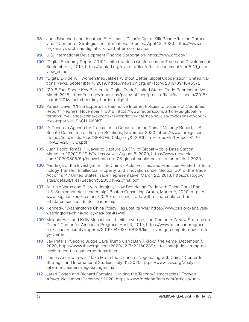- <span id="page-69-0"></span>**98** Jude Blanchett and Jonathan E. Hillman, "China's Digital Silk Road After the Coronavirus," Center for Strategic and International Studies, April 13, 2020, https://www.csis. org/analysis/chinas-digital-silk-road-after-coronavirus
- **99** U.S. International Development Finance Corporation, https://www.dfc.gov/
- **100** "Digital Economy Report 2019," United Nations Conference on Trade and Development, September 4, 2019, https://unctad.org/system/files/official-document/der2019\_overview\_en.pdf
- **101** "Digital Divide Will Worsen Inequalities Without Better Global Cooperation," United Nations News, September 4, 2019, https://news.un.org/en/story/2019/09/1045572
- **102** "2018 Fact Sheet: Key Barriers to Digital Trade," United States Trade Representative, March 2018, https://ustr.gov/about-us/policy-offices/press-office/fact-sheets/2018/ march/2018-fact-sheet-key-barriers-digital
- **103** Paresh Dave, "China Exports Its Restrictive Internet Policies to Dozens of Countries: Report," *Reuters,* November 1, 2018, https://www.reuters.com/article/us-global-internet-surveillance/china-exports-its-restrictive-internet-policies-to-dozens-of-countries-report-idUSKCN1N63KE
- **104** "A Concrete Agenda for Transatlantic Cooperation on China," Majority Report, U.S. Senate Committee on Foreign Relations, November 2020, https://www.foreign.senate.gov/imo/media/doc/SFRC%20Majority%20China-Europe%20Report%20 FINAL%20(P&G).pdf
- **105** Juan Pedro Tomás, "Huawei to Capture 28.5% of Global Mobile Base Station Market in 2020," *RCR Wireless News,* August 5, 2020, https://www.rcrwireless. com/20200805/5g/huawei-capture-28-global-mobile-base-station-market-2020
- **106** "Findings of the Investigation into China's Acts, Policies, and Practices Related to Technology Transfer, Intellectual Property, and Innovation under Section 301 of the Trade Act of 1974," United States Trade Representative, March 22, 2018, https://ustr.gov/ sites/default/files/Section%20301%20final.pdf
- **107** Antonio Varas and Raj Varadarajan, "How Restricting Trade with China Could End U.S. Semiconductor Leadership," Boston Consulting Group, March 9, 2020, https:// www.bcg.com/publications/2020/restricting-trade-with-china-could-end-united-states-semiconductor-leadership
- **108** Kennedy, "Washington's China Policy Has Lost Its Wei," https://www.csis.org/analysis/ washingtons-china-policy-has-lost-its-wei
- **109** Melanie Hart and Kelly Magsamen, "Limit, Leverage, and Compete: A New Strategy on China," Center for American Progress, April 3, 2019, https://www.americanprogress. org/issues/security/reports/2019/04/03/468136/limit-leverage-compete-new-strategy-china/
- **110** Jay Peters, "Second Judge Says Trump Can't Ban TikTok," *The Verge,* December 7, 2020, https://www.theverge.com/2020/12/7/22160239/tiktok-ban-judge-trump-administration-us-commerce-department.
- **111** James Andrew Lewis, "Take Me to the Cleaners: Negotiating with China," Center for Strategic and International Studies, July 31, 2020, https://www.csis.org/analysis/ take-me-cleaners-negotiating-china
- **112** Jared Cohen and Richard Fontaine, "Uniting the Techno-Democracies," *Foreign Affairs,* November/December 2020, https://www.foreignaffairs.com/articles/unit-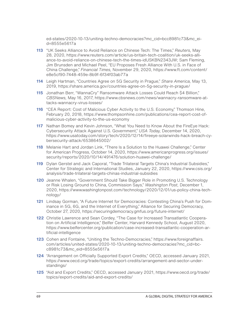<span id="page-70-0"></span>ed-states/2020-10-13/uniting-techno-democracies?mc\_cid=bcc8981c73&mc\_eid=8555e5617a

- **113** "UK Seeks Alliance to Avoid Reliance on Chinese Tech: The Times," *Reuters,* May 28, 2020, https://www.reuters.com/article/us-britain-tech-coalition/uk-seeks-alliance-to-avoid-reliance-on-chinese-tech-the-times-idUSKBN2343JW; Sam Fleming, Jim Brunsden and Michael Peel, "EU Proposes Fresh Alliance With U.S. in Face of China Challenge," *Financial Times,* November 29, 2020, https://www.ft.com/content/ e8e5cf90-7448-459e-8b9f-6f34f03ab77a
- **114** Leigh Hartman, "Countries Agree on 5G Security in Prague," *Share America,* May 13, 2019, https://share.america.gov/countries-agree-on-5g-security-in-prague/
- 115 Jonathan Berr, "WannaCry" Ransomware Attack Losses Could Reach \$4 Billion," *CBSNews,* May 16, 2017, https://www.cbsnews.com/news/wannacry-ransomware-attacks-wannacry-virus-losses/
- **116** "CEA Report: Cost of Malicious Cyber Activity to the U.S. Economy," Thomson Hine, February 20, 2018, https://www.thompsonhine.com/publications/cea-report-cost-ofmalicious-cyber-activity-to-the-us-economy
- **117** Nathan Bomey and Kevin Johnson, "What You Need to Know About the FireEye Hack: Cybersecurity Attack Against U.S. Government," *USA Today,* December 14, 2020, https://www.usatoday.com/story/tech/2020/12/14/fireeye-solarwinds-hack-breach-cybersecurity-attack/6538645002/
- 118 Melanie Hart and Jordan Link, "There Is a Solution to the Huawei Challenge," Center for American Progress, October 14, 2020, https://www.americanprogress.org/issues/ security/reports/2020/10/14/491476/solution-huawei-challenge/
- **119** Dylan Gerstel and Jack Caporal, "Trade Trilateral Targets China's Industrial Subsidies," Center for Strategic and International Studies, January 22, 2020, https://www.csis.org/ analysis/trade-trilateral-targets-chinas-industrial-subsidies
- **120** Jeanne Whalen, "Government Should Take Bigger Role in Promoting U.S. Technology or Risk Losing Ground to China, Commission Says," *Washington Post,* December 1, 2020, https://www.washingtonpost.com/technology/2020/12/01/us-policy-china-technology/
- **121** Lindsay Gorman, "A Future Internet for Democracies: Contesting China's Push for Dominance in 5G, 6G, and the Internet of Everything," Alliance for Securing Democracy, October 27, 2020, https://securingdemocracy.gmfus.org/future-internet/
- **122** Christie Lawrence and Sean Cordey, "The Case for Increased Transatlantic Cooperation on Artificial Intelligence," Belfer Center, Harvard Kennedy School, August 2020, https://www.belfercenter.org/publication/case-increased-transatlantic-cooperation-artificial-intelligence
- 123 Cohen and Fontaine, "Uniting the Techno-Democracies," https://www.foreignaffairs. com/articles/united-states/2020-10-13/uniting-techno-democracies?mc\_cid=bcc8981c73&mc\_eid=8555e5617a
- **124** "Arrangement on Officially Supported Export Credits," OECD, accessed January 2021, https://www.oecd.org/trade/topics/export-credits/arrangement-and-sector-understandings/
- **125** "Aid and Export Credits," OECD, accessed January 2021, https://www.oecd.org/trade/ topics/export-credits/aid-and-export-credits/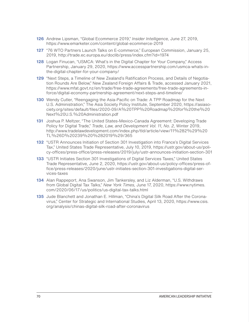- <span id="page-71-0"></span>**126** Andrew Lipsman, "Global Ecommerce 2019," *Insider Intelligence,* June 27, 2019, https://www.emarketer.com/content/global-ecommerce-2019
- **127** "76 WTO Partners Launch Talks on E-commerce," European Commission, January 25, 2019, http://trade.ec.europa.eu/doclib/press/index.cfm?id=1974
- **128** Logan Finucan, "USMCA: What's in the Digital Chapter for Your Company," Access Partnership, January 29, 2020, https://www.accesspartnership.com/usmca-whats-inthe-digital-chapter-for-your-company/
- **129** "Next Steps, a Timeline of New Zealand's Ratification Process, and Details of Negotiation Rounds Are Below," New Zealand Foreign Affairs & Trade, accessed January 2021, https://www.mfat.govt.nz/en/trade/free-trade-agreements/free-trade-agreements-inforce/digital-economy-partnership-agreement/next-steps-and-timeline/
- **130** Wendy Cutler, "Reengaging the Asia-Pacific on Trade: A TPP Roadmap for the Next U.S. Administration," The Asia Society Policy Institute, September 2020, https://asiasociety.org/sites/default/files/2020-09/A%20TPP%20Roadmap%20for%20the%20 Next%20U.S.%20Administration.pdf
- **131** Joshua P. Meltzer, "The United States-Mexico-Canada Agreement: Developing Trade Policy for Digital Trade," *Trade, Law, and Development Vol. 11, No. 2,* Winter 2019, http://www.tradelawdevelopment.com/index.php/tld/article/view/11%282%29%20 TL%26D%20239%20%282019%29/365
- **132** "USTR Announces Initiation of Section 301 Investigation into France's Digital Services Tax," United States Trade Representative, July 10, 2019, https://ustr.gov/about-us/policy-offices/press-office/press-releases/2019/july/ustr-announces-initiation-section-301
- **133** "USTR Initiates Section 301 Investigations of Digital Services Taxes," United States Trade Representative, June 2, 2020, https://ustr.gov/about-us/policy-offices/press-office/press-releases/2020/june/ustr-initiates-section-301-investigations-digital-services-taxes
- **134** Alan Rappeport, Ana Swanson, Jim Tankersley, and Liz Alderman, "U.S. Withdraws from Global Digital Tax Talks," *New York Times,* June 17, 2020, https://www.nytimes. com/2020/06/17/us/politics/us-digital-tax-talks.html
- 135 Jude Blanchett and Jonathan E. Hillman, "China's Digital Silk Road After the Coronavirus," Center for Strategic and International Studies, April 13, 2020, https://www.csis. org/analysis/chinas-digital-silk-road-after-coronavirus